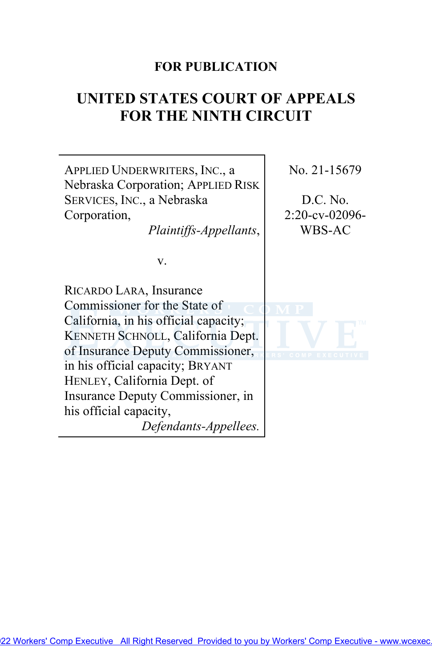# **FOR PUBLICATION**

# **UNITED STATES COURT OF APPEALS FOR THE NINTH CIRCUIT**

| APPLIED UNDERWRITERS, INC., a<br>Nebraska Corporation; APPLIED RISK | No. 21-15679      |
|---------------------------------------------------------------------|-------------------|
| SERVICES, INC., a Nebraska                                          | D.C. No.          |
| Corporation,                                                        | $2:20$ -cv-02096- |
| Plaintiffs-Appellants,                                              | WBS-AC            |
| v.                                                                  |                   |
| RICARDO LARA, Insurance                                             |                   |
| Commissioner for the State of                                       |                   |
| California, in his official capacity;                               |                   |
| KENNETH SCHNOLL, California Dept.                                   |                   |
| of Insurance Deputy Commissioner,                                   | COMP EXECU        |
| in his official capacity; BRYANT                                    |                   |
| HENLEY, California Dept. of                                         |                   |
| Insurance Deputy Commissioner, in                                   |                   |
| his official capacity,                                              |                   |
| Defendants-Appellees.                                               |                   |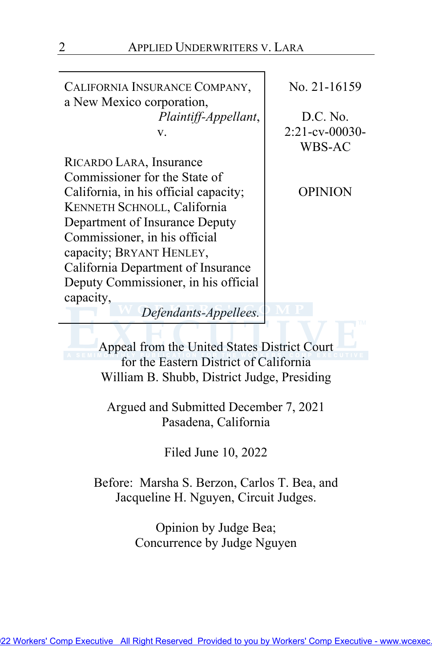CALIFORNIA INSURANCE COMPANY, a New Mexico corporation, *Plaintiff-Appellant*, v.

RICARDO LARA, Insurance Commissioner for the State of California, in his official capacity; KENNETH SCHNOLL, California Department of Insurance Deputy Commissioner, in his official capacity; BRYANT HENLEY, California Department of Insurance Deputy Commissioner, in his official capacity,

No. 21-16159

D.C. No. 2:21-cv-00030- WBS-AC

OPINION

*Defendants-Appellees.*

Appeal from the United States District Court for the Eastern District of California William B. Shubb, District Judge, Presiding

Argued and Submitted December 7, 2021 Pasadena, California

Filed June 10, 2022

Before: Marsha S. Berzon, Carlos T. Bea, and Jacqueline H. Nguyen, Circuit Judges.

> Opinion by Judge Bea; Concurrence by Judge Nguyen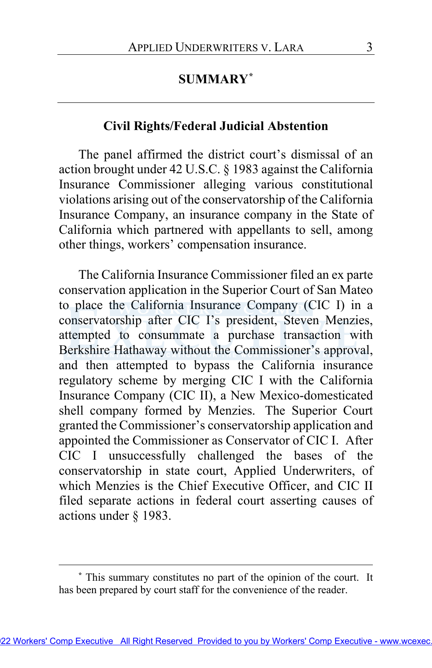# **SUMMARY[\\*](#page-2-0)**

### **Civil Rights/Federal Judicial Abstention**

The panel affirmed the district court's dismissal of an action brought under 42 U.S.C. § 1983 against the California Insurance Commissioner alleging various constitutional violations arising out of the conservatorship of the California Insurance Company, an insurance company in the State of California which partnered with appellants to sell, among other things, workers' compensation insurance.

The California Insurance Commissioner filed an ex parte conservation application in the Superior Court of San Mateo to place the California Insurance Company (CIC I) in a conservatorship after CIC I's president, Steven Menzies, attempted to consummate a purchase transaction with Berkshire Hathaway without the Commissioner's approval, and then attempted to bypass the California insurance regulatory scheme by merging CIC I with the California Insurance Company (CIC II), a New Mexico-domesticated shell company formed by Menzies. The Superior Court granted the Commissioner's conservatorship application and appointed the Commissioner as Conservator of CIC I. After CIC I unsuccessfully challenged the bases of the conservatorship in state court, Applied Underwriters, of which Menzies is the Chief Executive Officer, and CIC II filed separate actions in federal court asserting causes of actions under § 1983.

<span id="page-2-0"></span>**<sup>\*</sup>** This summary constitutes no part of the opinion of the court. It has been prepared by court staff for the convenience of the reader.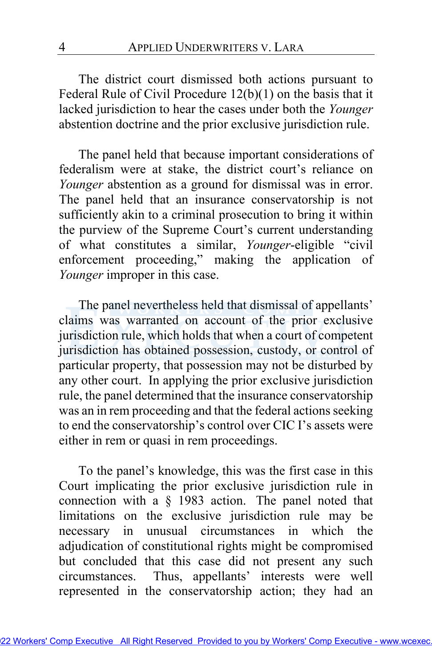The district court dismissed both actions pursuant to Federal Rule of Civil Procedure 12(b)(1) on the basis that it lacked jurisdiction to hear the cases under both the *Younger*  abstention doctrine and the prior exclusive jurisdiction rule.

The panel held that because important considerations of federalism were at stake, the district court's reliance on *Younger* abstention as a ground for dismissal was in error. The panel held that an insurance conservatorship is not sufficiently akin to a criminal prosecution to bring it within the purview of the Supreme Court's current understanding of what constitutes a similar, *Younger*-eligible "civil enforcement proceeding," making the application of *Younger* improper in this case.

The panel nevertheless held that dismissal of appellants' claims was warranted on account of the prior exclusive jurisdiction rule, which holds that when a court of competent jurisdiction has obtained possession, custody, or control of particular property, that possession may not be disturbed by any other court. In applying the prior exclusive jurisdiction rule, the panel determined that the insurance conservatorship was an in rem proceeding and that the federal actions seeking to end the conservatorship's control over CIC I's assets were either in rem or quasi in rem proceedings.

To the panel's knowledge, this was the first case in this Court implicating the prior exclusive jurisdiction rule in connection with a § 1983 action. The panel noted that limitations on the exclusive jurisdiction rule may be necessary in unusual circumstances in which the adjudication of constitutional rights might be compromised but concluded that this case did not present any such circumstances. Thus, appellants' interests were well represented in the conservatorship action; they had an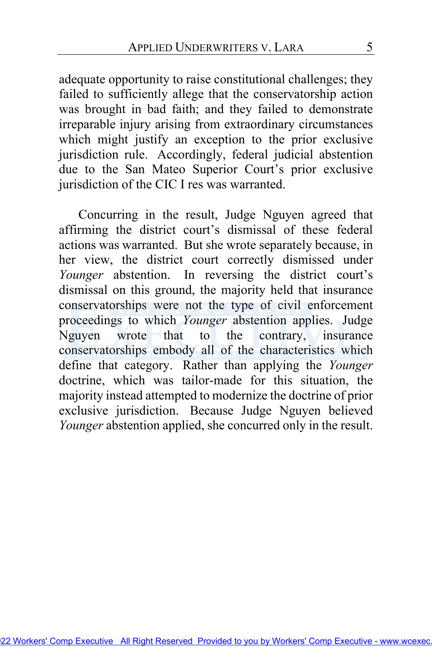adequate opportunity to raise constitutional challenges; they failed to sufficiently allege that the conservatorship action was brought in bad faith; and they failed to demonstrate irreparable injury arising from extraordinary circumstances which might justify an exception to the prior exclusive jurisdiction rule. Accordingly, federal judicial abstention due to the San Mateo Superior Court's prior exclusive jurisdiction of the CIC I res was warranted.

 Concurring in the result, Judge Nguyen agreed that affirming the district court's dismissal of these federal actions was warranted. But she wrote separately because, in her view, the district court correctly dismissed under *Younger* abstention. In reversing the district court's dismissal on this ground, the majority held that insurance conservatorships were not the type of civil enforcement proceedings to which Younger abstention applies. Judge Nguyen wrote that to the contrary, insurance conservatorships embody all of the characteristics which define that category. Rather than applying the *Younger* doctrine, which was tailor-made for this situation, the majority instead attempted to modernize the doctrine of prior exclusive jurisdiction. Because Judge Nguyen believed *Younger* abstention applied, she concurred only in the result.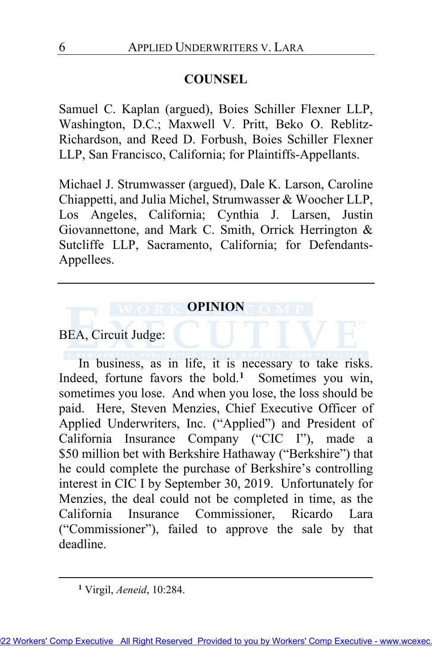# **COUNSEL**

Samuel C. Kaplan (argued), Boies Schiller Flexner LLP, Washington, D.C.; Maxwell V. Pritt, Beko O. Reblitz-Richardson, and Reed D. Forbush, Boies Schiller Flexner LLP, San Francisco, California; for Plaintiffs-Appellants.

Michael J. Strumwasser (argued), Dale K. Larson, Caroline Chiappetti, and Julia Michel, Strumwasser & Woocher LLP, Los Angeles, California; Cynthia J. Larsen, Justin Giovannettone, and Mark C. Smith, Orrick Herrington & Sutcliffe LLP, Sacramento, California; for Defendants-Appellees.

# **OPINION**

# BEA, Circuit Judge:

In business, as in life, it is necessary to take risks. Indeed, fortune favors the bold.**[1](#page-5-0)** Sometimes you win, sometimes you lose. And when you lose, the loss should be paid. Here, Steven Menzies, Chief Executive Officer of Applied Underwriters, Inc. ("Applied") and President of California Insurance Company ("CIC I"), made a \$50 million bet with Berkshire Hathaway ("Berkshire") that he could complete the purchase of Berkshire's controlling interest in CIC I by September 30, 2019. Unfortunately for Menzies, the deal could not be completed in time, as the California Insurance Commissioner, Ricardo Lara ("Commissioner"), failed to approve the sale by that deadline.

<span id="page-5-0"></span>**<sup>1</sup>** Virgil, *Aeneid*, 10:284.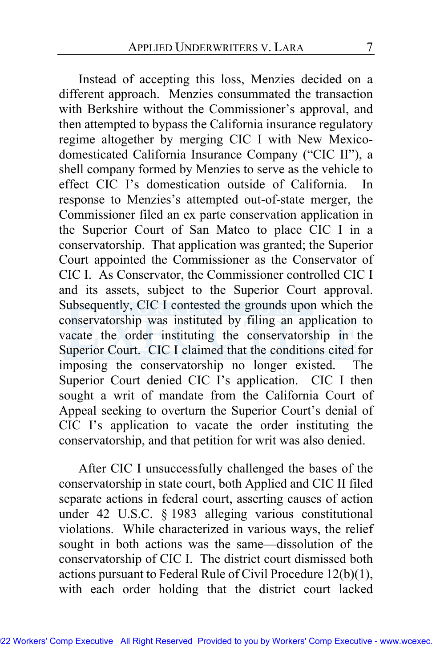Instead of accepting this loss, Menzies decided on a different approach. Menzies consummated the transaction with Berkshire without the Commissioner's approval, and then attempted to bypass the California insurance regulatory regime altogether by merging CIC I with New Mexicodomesticated California Insurance Company ("CIC II"), a shell company formed by Menzies to serve as the vehicle to effect CIC I's domestication outside of California. In response to Menzies's attempted out-of-state merger, the Commissioner filed an ex parte conservation application in the Superior Court of San Mateo to place CIC I in a conservatorship. That application was granted; the Superior Court appointed the Commissioner as the Conservator of CIC I. As Conservator, the Commissioner controlled CIC I and its assets, subject to the Superior Court approval. Subsequently, CIC I contested the grounds upon which the conservatorship was instituted by filing an application to vacate the order instituting the conservatorship in the Superior Court. CIC I claimed that the conditions cited for imposing the conservatorship no longer existed. The Superior Court denied CIC I's application. CIC I then sought a writ of mandate from the California Court of Appeal seeking to overturn the Superior Court's denial of CIC I's application to vacate the order instituting the conservatorship, and that petition for writ was also denied.

After CIC I unsuccessfully challenged the bases of the conservatorship in state court, both Applied and CIC II filed separate actions in federal court, asserting causes of action under 42 U.S.C. § 1983 alleging various constitutional violations. While characterized in various ways, the relief sought in both actions was the same—dissolution of the conservatorship of CIC I. The district court dismissed both actions pursuant to Federal Rule of Civil Procedure 12(b)(1), with each order holding that the district court lacked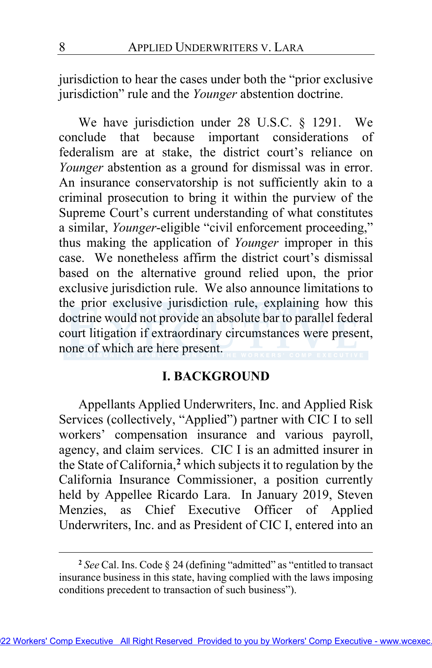jurisdiction to hear the cases under both the "prior exclusive jurisdiction" rule and the *Younger* abstention doctrine.

We have jurisdiction under 28 U.S.C. § 1291. We conclude that because important considerations of federalism are at stake, the district court's reliance on *Younger* abstention as a ground for dismissal was in error. An insurance conservatorship is not sufficiently akin to a criminal prosecution to bring it within the purview of the Supreme Court's current understanding of what constitutes a similar, *Younger*-eligible "civil enforcement proceeding," thus making the application of *Younger* improper in this case. We nonetheless affirm the district court's dismissal based on the alternative ground relied upon, the prior exclusive jurisdiction rule. We also announce limitations to the prior exclusive jurisdiction rule, explaining how this doctrine would not provide an absolute bar to parallel federal court litigation if extraordinary circumstances were present, none of which are here present.

## **I. BACKGROUND**

Appellants Applied Underwriters, Inc. and Applied Risk Services (collectively, "Applied") partner with CIC I to sell workers' compensation insurance and various payroll, agency, and claim services. CIC I is an admitted insurer in the State of California,**[2](#page-7-0)** which subjects it to regulation by the California Insurance Commissioner, a position currently held by Appellee Ricardo Lara. In January 2019, Steven Menzies, as Chief Executive Officer of Applied Underwriters, Inc. and as President of CIC I, entered into an

<span id="page-7-0"></span>**<sup>2</sup>** *See* Cal. Ins. Code § 24 (defining "admitted" as "entitled to transact insurance business in this state, having complied with the laws imposing conditions precedent to transaction of such business").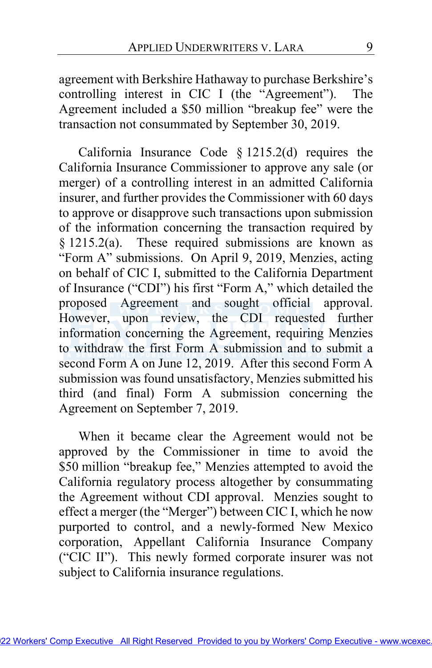agreement with Berkshire Hathaway to purchase Berkshire's controlling interest in CIC I (the "Agreement"). The Agreement included a \$50 million "breakup fee" were the transaction not consummated by September 30, 2019.

California Insurance Code § 1215.2(d) requires the California Insurance Commissioner to approve any sale (or merger) of a controlling interest in an admitted California insurer, and further provides the Commissioner with 60 days to approve or disapprove such transactions upon submission of the information concerning the transaction required by § 1215.2(a). These required submissions are known as "Form A" submissions. On April 9, 2019, Menzies, acting on behalf of CIC I, submitted to the California Department of Insurance ("CDI") his first "Form A," which detailed the proposed Agreement and sought official approval. However, upon review, the CDI requested further information concerning the Agreement, requiring Menzies to withdraw the first Form A submission and to submit a second Form A on June 12, 2019. After this second Form A submission was found unsatisfactory, Menzies submitted his third (and final) Form A submission concerning the Agreement on September 7, 2019.

When it became clear the Agreement would not be approved by the Commissioner in time to avoid the \$50 million "breakup fee," Menzies attempted to avoid the California regulatory process altogether by consummating the Agreement without CDI approval. Menzies sought to effect a merger (the "Merger") between CIC I, which he now purported to control, and a newly-formed New Mexico corporation, Appellant California Insurance Company ("CIC II"). This newly formed corporate insurer was not subject to California insurance regulations.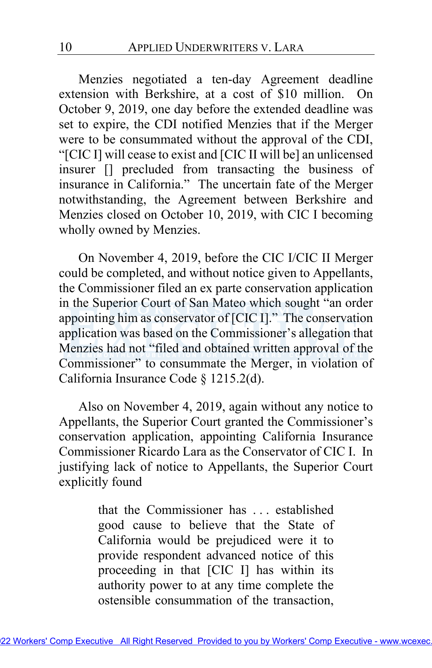Menzies negotiated a ten-day Agreement deadline extension with Berkshire, at a cost of \$10 million. On October 9, 2019, one day before the extended deadline was set to expire, the CDI notified Menzies that if the Merger were to be consummated without the approval of the CDI, "[CIC I] will cease to exist and [CIC II will be] an unlicensed insurer [] precluded from transacting the business of insurance in California." The uncertain fate of the Merger notwithstanding, the Agreement between Berkshire and Menzies closed on October 10, 2019, with CIC I becoming wholly owned by Menzies.

On November 4, 2019, before the CIC I/CIC II Merger could be completed, and without notice given to Appellants, the Commissioner filed an ex parte conservation application in the Superior Court of San Mateo which sought "an order appointing him as conservator of  $[CIC I]$ ." The conservation application was based on the Commissioner's allegation that Menzies had not "filed and obtained written approval of the Commissioner" to consummate the Merger, in violation of California Insurance Code § 1215.2(d).

Also on November 4, 2019, again without any notice to Appellants, the Superior Court granted the Commissioner's conservation application, appointing California Insurance Commissioner Ricardo Lara as the Conservator of CIC I. In justifying lack of notice to Appellants, the Superior Court explicitly found

> that the Commissioner has . . . established good cause to believe that the State of California would be prejudiced were it to provide respondent advanced notice of this proceeding in that [CIC I] has within its authority power to at any time complete the ostensible consummation of the transaction,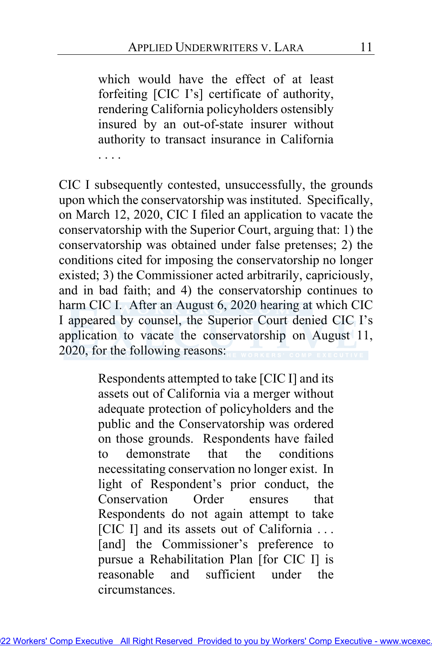which would have the effect of at least forfeiting [CIC I's] certificate of authority, rendering California policyholders ostensibly insured by an out-of-state insurer without authority to transact insurance in California . . . .

CIC I subsequently contested, unsuccessfully, the grounds upon which the conservatorship was instituted. Specifically, on March 12, 2020, CIC I filed an application to vacate the conservatorship with the Superior Court, arguing that: 1) the conservatorship was obtained under false pretenses; 2) the conditions cited for imposing the conservatorship no longer existed; 3) the Commissioner acted arbitrarily, capriciously, and in bad faith; and 4) the conservatorship continues to harm CIC I. After an August 6, 2020 hearing at which CIC I appeared by counsel, the Superior Court denied CIC I's application to vacate the conservatorship on August 11, 2020, for the following reasons:

> Respondents attempted to take [CIC I] and its assets out of California via a merger without adequate protection of policyholders and the public and the Conservatorship was ordered on those grounds. Respondents have failed to demonstrate that the conditions necessitating conservation no longer exist. In light of Respondent's prior conduct, the Conservation Order ensures that Respondents do not again attempt to take [CIC I] and its assets out of California ... [and] the Commissioner's preference to pursue a Rehabilitation Plan [for CIC I] is reasonable and sufficient under the circumstances.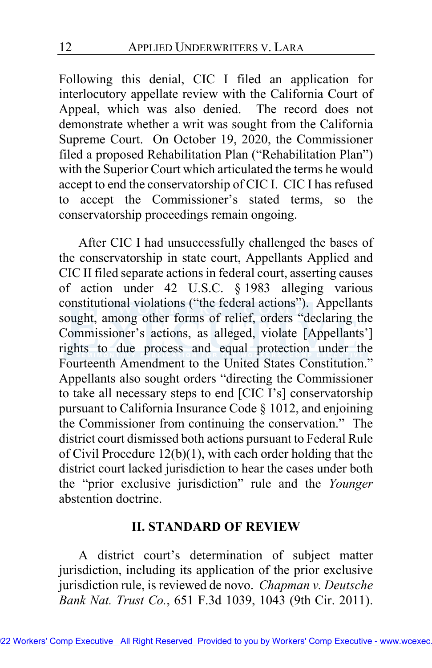Following this denial, CIC I filed an application for interlocutory appellate review with the California Court of Appeal, which was also denied. The record does not demonstrate whether a writ was sought from the California Supreme Court. On October 19, 2020, the Commissioner filed a proposed Rehabilitation Plan ("Rehabilitation Plan") with the Superior Court which articulated the terms he would accept to end the conservatorship of CIC I. CIC I has refused to accept the Commissioner's stated terms, so the conservatorship proceedings remain ongoing.

After CIC I had unsuccessfully challenged the bases of the conservatorship in state court, Appellants Applied and CIC II filed separate actions in federal court, asserting causes of action under 42 U.S.C. § 1983 alleging various constitutional violations ("the federal actions"). Appellants sought, among other forms of relief, orders "declaring the Commissioner's actions, as alleged, violate [Appellants'] rights to due process and equal protection under the Fourteenth Amendment to the United States Constitution." Appellants also sought orders "directing the Commissioner to take all necessary steps to end [CIC I's] conservatorship pursuant to California Insurance Code § 1012, and enjoining the Commissioner from continuing the conservation." The district court dismissed both actions pursuant to Federal Rule of Civil Procedure 12(b)(1), with each order holding that the district court lacked jurisdiction to hear the cases under both the "prior exclusive jurisdiction" rule and the *Younger*  abstention doctrine.

# **II. STANDARD OF REVIEW**

A district court's determination of subject matter jurisdiction, including its application of the prior exclusive jurisdiction rule, is reviewed de novo. *Chapman v. Deutsche Bank Nat. Trust Co.*, 651 F.3d 1039, 1043 (9th Cir. 2011).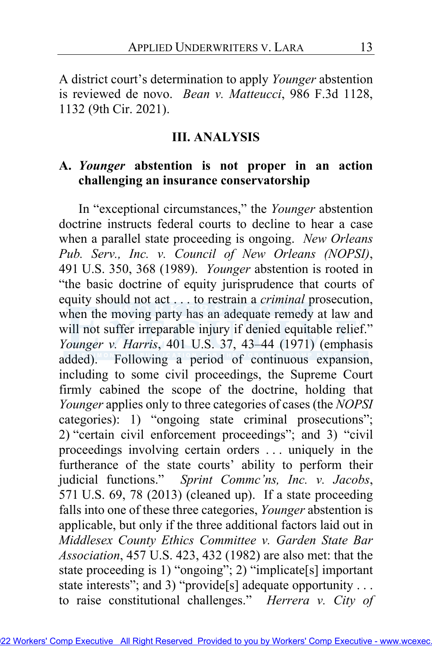A district court's determination to apply *Younger* abstention is reviewed de novo. *Bean v. Matteucci*, 986 F.3d 1128, 1132 (9th Cir. 2021).

### **III. ANALYSIS**

# **A.** *Younger* **abstention is not proper in an action challenging an insurance conservatorship**

In "exceptional circumstances," the *Younger* abstention doctrine instructs federal courts to decline to hear a case when a parallel state proceeding is ongoing. *New Orleans Pub. Serv., Inc. v. Council of New Orleans (NOPSI)*, 491 U.S. 350, 368 (1989). *Younger* abstention is rooted in "the basic doctrine of equity jurisprudence that courts of equity should not act . . . to restrain a *criminal* prosecution, when the moving party has an adequate remedy at law and will not suffer irreparable injury if denied equitable relief." *Younger v. Harris*, 401 U.S. 37, 43–44 (1971) (emphasis added). Following a period of continuous expansion, including to some civil proceedings, the Supreme Court firmly cabined the scope of the doctrine, holding that *Younger* applies only to three categories of cases (the *NOPSI* categories): 1) "ongoing state criminal prosecutions"; 2) "certain civil enforcement proceedings"; and 3) "civil proceedings involving certain orders . . . uniquely in the furtherance of the state courts' ability to perform their judicial functions." *Sprint Commc'ns, Inc. v. Jacobs*, 571 U.S. 69, 78 (2013) (cleaned up). If a state proceeding falls into one of these three categories, *Younger* abstention is applicable, but only if the three additional factors laid out in *Middlesex County Ethics Committee v. Garden State Bar Association*, 457 U.S. 423, 432 (1982) are also met: that the state proceeding is 1) "ongoing"; 2) "implicate[s] important state interests"; and 3) "provide[s] adequate opportunity . . . to raise constitutional challenges." *Herrera v. City of*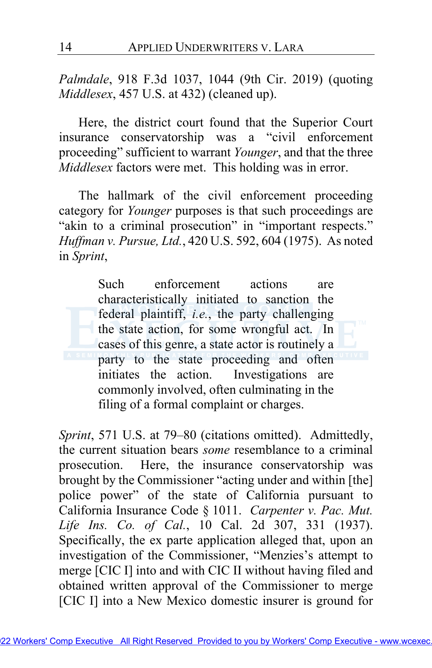*Palmdale*, 918 F.3d 1037, 1044 (9th Cir. 2019) (quoting *Middlesex*, 457 U.S. at 432) (cleaned up).

Here, the district court found that the Superior Court insurance conservatorship was a "civil enforcement proceeding" sufficient to warrant *Younger*, and that the three *Middlesex* factors were met. This holding was in error.

The hallmark of the civil enforcement proceeding category for *Younger* purposes is that such proceedings are "akin to a criminal prosecution" in "important respects." *Huffman v. Pursue, Ltd.*, 420 U.S. 592, 604 (1975). As noted in *Sprint*,

Such enforcement actions are characteristically initiated to sanction the federal plaintiff, *i.e.*, the party challenging the state action, for some wrongful act. In cases of this genre, a state actor is routinely a party to the state proceeding and often initiates the action. Investigations are commonly involved, often culminating in the filing of a formal complaint or charges.

*Sprint*, 571 U.S. at 79–80 (citations omitted). Admittedly, the current situation bears *some* resemblance to a criminal prosecution. Here, the insurance conservatorship was brought by the Commissioner "acting under and within [the] police power" of the state of California pursuant to California Insurance Code § 1011. *Carpenter v. Pac. Mut. Life Ins. Co. of Cal.*, 10 Cal. 2d 307, 331 (1937). Specifically, the ex parte application alleged that, upon an investigation of the Commissioner, "Menzies's attempt to merge [CIC I] into and with CIC II without having filed and obtained written approval of the Commissioner to merge [CIC I] into a New Mexico domestic insurer is ground for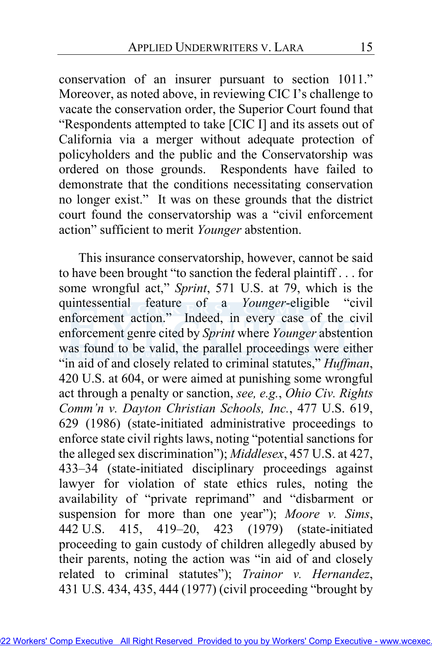conservation of an insurer pursuant to section 1011." Moreover, as noted above, in reviewing CIC I's challenge to vacate the conservation order, the Superior Court found that "Respondents attempted to take [CIC I] and its assets out of California via a merger without adequate protection of policyholders and the public and the Conservatorship was ordered on those grounds. Respondents have failed to demonstrate that the conditions necessitating conservation no longer exist." It was on these grounds that the district court found the conservatorship was a "civil enforcement action" sufficient to merit *Younger* abstention.

<span id="page-14-0"></span>This insurance conservatorship, however, cannot be said to have been brought "to sanction the federal plaintiff . . . for some wrongful act," *Sprint*, 571 U.S. at 79, which is the quintessential feature of a *Younger*-eligible "civil enforcement action." Indeed, in every case of the civil enforcement genre cited by *Sprint* where *Younger* abstention was found to be valid, the parallel proceedings were either "in aid of and closely related to criminal statutes," *Huffman*, 420 U.S. at 604, or were aimed at punishing some wrongful act through a penalty or sanction, *see, e.g.*, *Ohio Civ. Rights Comm'n v. Dayton Christian Schools, Inc.*, 477 U.S. 619, 629 (1986) (state-initiated administrative proceedings to enforce state civil rights laws, noting "potential sanctions for the alleged sex discrimination"); *Middlesex*, 457 U.S. at 427, 433–34 (state-initiated disciplinary proceedings against lawyer for violation of state ethics rules, noting the availability of "private reprimand" and "disbarment or suspension for more than one year"); *Moore v. Sims*, 442 U.S. 415, 419–20, 423 (1979) (state-initiated proceeding to gain custody of children allegedly abused by their parents, noting the action was "in aid of and closely related to criminal statutes"); *Trainor v. Hernandez*, 431 U.S. 434, 435, 444 (1977) (civil proceeding "brought by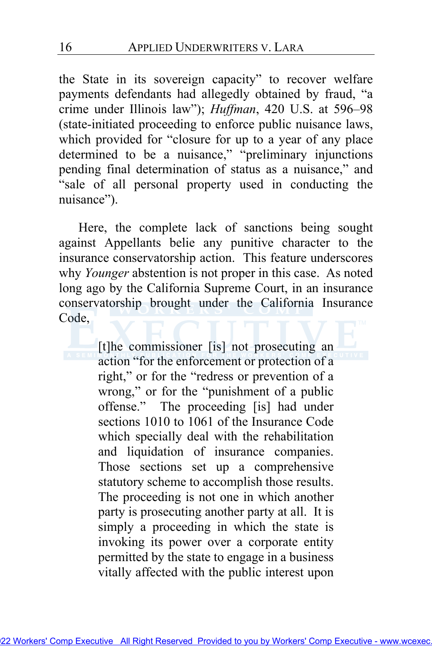the State in its sovereign capacity" to recover welfare payments defendants had allegedly obtained by fraud, "a crime under Illinois law"); *Huffman*, 420 U.S. at 596–98 (state-initiated proceeding to enforce public nuisance laws, which provided for "closure for up to a year of any place determined to be a nuisance," "preliminary injunctions pending final determination of status as a nuisance," and "sale of all personal property used in conducting the nuisance").

<span id="page-15-0"></span>Here, the complete lack of sanctions being sought against Appellants belie any punitive character to the insurance conservatorship action. This feature underscores why *Younger* abstention is not proper in this case. As noted long ago by the California Supreme Court, in an insurance conservatorship brought under the California Insurance Code,

> [t]he commissioner [is] not prosecuting an action "for the enforcement or protection of a right," or for the "redress or prevention of a wrong," or for the "punishment of a public offense." The proceeding [is] had under sections 1010 to 1061 of the Insurance Code which specially deal with the rehabilitation and liquidation of insurance companies. Those sections set up a comprehensive statutory scheme to accomplish those results. The proceeding is not one in which another party is prosecuting another party at all. It is simply a proceeding in which the state is invoking its power over a corporate entity permitted by the state to engage in a business vitally affected with the public interest upon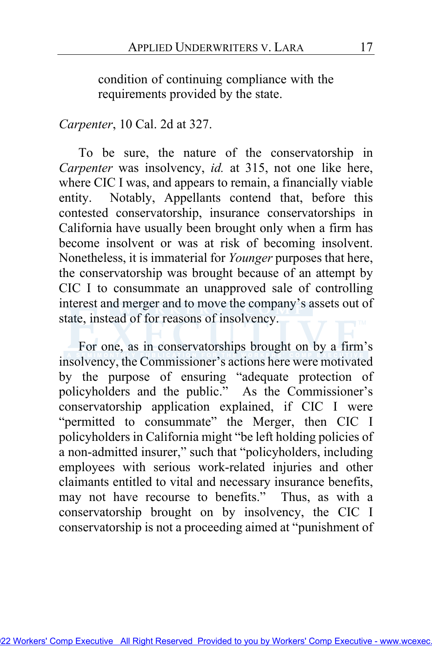condition of continuing compliance with the requirements provided by the state.

### *Carpenter*, 10 Cal. 2d at 327.

To be sure, the nature of the conservatorship in *Carpenter* was insolvency, *id.* at 315, not one like here, where CIC I was, and appears to remain, a financially viable entity. Notably, Appellants contend that, before this contested conservatorship, insurance conservatorships in California have usually been brought only when a firm has become insolvent or was at risk of becoming insolvent. Nonetheless, it is immaterial for *Younger* purposes that here, the conservatorship was brought because of an attempt by CIC I to consummate an unapproved sale of controlling interest and merger and to move the company's assets out of state, instead of for reasons of insolvency.

For one, as in conservatorships brought on by a firm's insolvency, the Commissioner's actions here were motivated by the purpose of ensuring "adequate protection of policyholders and the public." As the Commissioner's conservatorship application explained, if CIC I were "permitted to consummate" the Merger, then CIC I policyholders in California might "be left holding policies of a non-admitted insurer," such that "policyholders, including employees with serious work-related injuries and other claimants entitled to vital and necessary insurance benefits, may not have recourse to benefits." Thus, as with a conservatorship brought on by insolvency, the CIC I conservatorship is not a proceeding aimed at "punishment of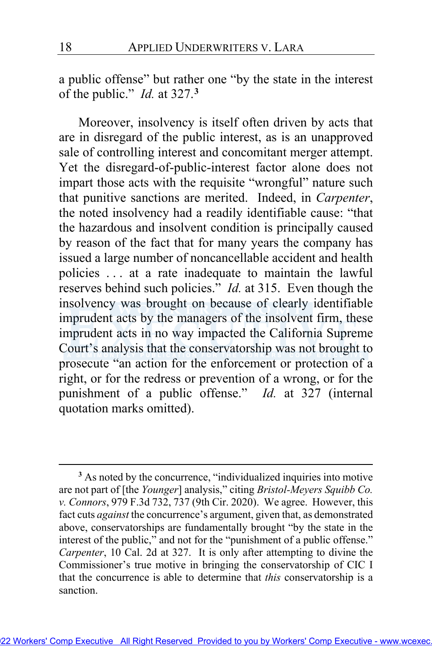a public offense" but rather one "by the state in the interest of the public." *Id.* at 327.**[3](#page-17-0)**

<span id="page-17-1"></span>Moreover, insolvency is itself often driven by acts that are in disregard of the public interest, as is an unapproved sale of controlling interest and concomitant merger attempt. Yet the disregard-of-public-interest factor alone does not impart those acts with the requisite "wrongful" nature such that punitive sanctions are merited. Indeed, in *Carpenter*, the noted insolvency had a readily identifiable cause: "that the hazardous and insolvent condition is principally caused by reason of the fact that for many years the company has issued a large number of noncancellable accident and health policies . . . at a rate inadequate to maintain the lawful reserves behind such policies." *Id.* at 315. Even though the insolvency was brought on because of clearly identifiable imprudent acts by the managers of the insolvent firm, these imprudent acts in no way impacted the California Supreme Court's analysis that the conservatorship was not brought to prosecute "an action for the enforcement or protection of a right, or for the redress or prevention of a wrong, or for the punishment of a public offense." *Id.* at 327 (internal quotation marks omitted).

<span id="page-17-2"></span><span id="page-17-0"></span>**<sup>3</sup>** As noted by the concurrence, "individualized inquiries into motive are not part of [the *Younger*] analysis," citing *Bristol-Meyers Squibb Co. v. Connors*, 979 F.3d 732, 737 (9th Cir. 2020). We agree. However, this fact cuts *against* the concurrence's argument, given that, as demonstrated above, conservatorships are fundamentally brought "by the state in the interest of the public," and not for the "punishment of a public offense." *Carpenter*, 10 Cal. 2d at 327. It is only after attempting to divine the Commissioner's true motive in bringing the conservatorship of CIC I that the concurrence is able to determine that *this* conservatorship is a sanction.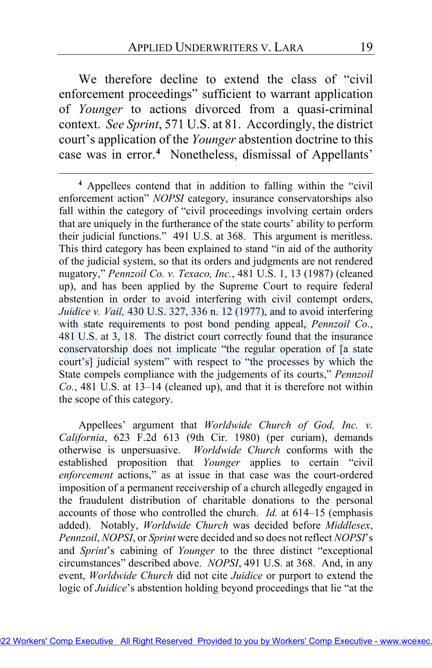We therefore decline to extend the class of "civil enforcement proceedings" sufficient to warrant application of *Younger* to actions divorced from a quasi-criminal context. *See Sprint*, 571 U.S. at 81. Accordingly, the district court's application of the *Younger* abstention doctrine to this case was in error.**[4](#page-18-0)** Nonetheless, dismissal of Appellants'

<span id="page-18-0"></span>**<sup>4</sup>** Appellees contend that in addition to falling within the "civil enforcement action" *NOPSI* category, insurance conservatorships also fall within the category of "civil proceedings involving certain orders that are uniquely in the furtherance of the state courts' ability to perform their judicial functions." 491 U.S. at 368. This argument is meritless. This third category has been explained to stand "in aid of the authority of the judicial system, so that its orders and judgments are not rendered nugatory," *Pennzoil Co. v. Texaco, Inc.*, 481 U.S. 1, 13 (1987) (cleaned up), and has been applied by the Supreme Court to require federal abstention in order to avoid interfering with civil contempt orders, *Juidice v. Vail,* 430 U.S. 327, 336 n. 12 (1977), and to avoid interfering with state requirements to post bond pending appeal, Pennzoil [Co.](http://www.wcexec.TM), 481 U.S. at 3, 18. The district court correctly found that the insurance conservatorship does not implicate "the regular operation of [a state court's] judicial system" with respect to "the processes by which the State compels compliance with the judgements of its courts," *Pennzoil Co.*, 481 U.S. at 13–14 (cleaned up), and that it is therefore not within the scope of this category.

Appellees' argument that *Worldwide Church of God, Inc. v. California*, 623 F.2d 613 (9th Cir. 1980) (per curiam), demands otherwise is unpersuasive. *Worldwide Church* conforms with the established proposition that *Younger* applies to certain "civil *enforcement* actions," as at issue in that case was the court-ordered imposition of a permanent receivership of a church allegedly engaged in the fraudulent distribution of charitable donations to the personal accounts of those who controlled the church. *Id.* at 614–15 (emphasis added). Notably, *Worldwide Church* was decided before *Middlesex*, *Pennzoil*, *NOPSI*, or *Sprint* were decided and so does not reflect *NOPSI*'s and *Sprint*'s cabining of *Younger* to the three distinct "exceptional circumstances" described above. *NOPSI*, 491 U.S. at 368. And, in any event, *Worldwide Church* did not cite *Juidice* or purport to extend the logic of *Juidice*'s abstention holding beyond proceedings that lie "at the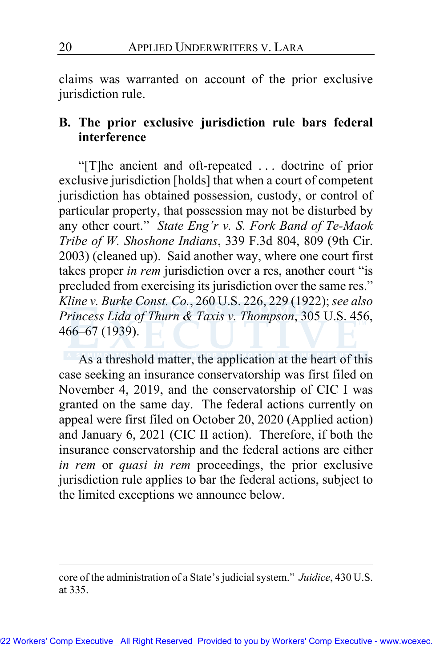claims was warranted on account of the prior exclusive jurisdiction rule.

# **B. The prior exclusive jurisdiction rule bars federal interference**

"[T]he ancient and oft-repeated . . . doctrine of prior exclusive jurisdiction [holds] that when a court of competent jurisdiction has obtained possession, custody, or control of particular property, that possession may not be disturbed by any other court." *State Eng'r v. S. Fork Band of Te-Maok Tribe of W. Shoshone Indians*, 339 F.3d 804, 809 (9th Cir. 2003) (cleaned up). Said another way, where one court first takes proper *in rem* jurisdiction over a res, another court "is precluded from exercising its jurisdiction over the same res." *Kline v. Burke Const. Co.*, 260 U.S. 226, 229 (1922); *see also*  Princess Lida of Thurn & Taxis v. Thompson, 305 U.S. 456, 466–67 (1939).

As a threshold matter, the application at the heart of this case seeking an insurance conservatorship was first filed on November 4, 2019, and the conservatorship of CIC I was granted on the same day. The federal actions currently on appeal were first filed on October 20, 2020 (Applied action) and January 6, 2021 (CIC II action). Therefore, if both the insurance conservatorship and the federal actions are either *in rem* or *quasi in rem* proceedings, the prior exclusive jurisdiction rule applies to bar the federal actions, subject to the limited exceptions we announce below.

core of the administration of a State's judicial system." *Juidice*, 430 U.S. at 335.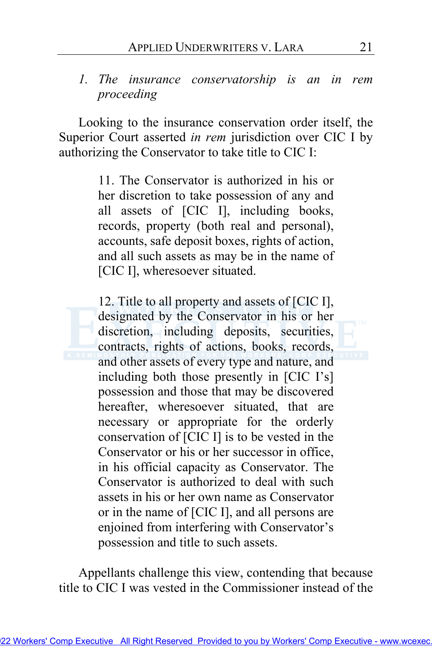# *1. The insurance conservatorship is an in rem proceeding*

Looking to the insurance conservation order itself, the Superior Court asserted *in rem* jurisdiction over CIC I by authorizing the Conservator to take title to CIC I:

> 11. The Conservator is authorized in his or her discretion to take possession of any and all assets of [CIC I], including books, records, property (both real and personal), accounts, safe deposit boxes, rights of action, and all such assets as may be in the name of [CIC I], wheresoever situated.

> 12. Title to all property and assets of [CIC I], designated by the Conservator in his or her discretion, including deposits, securities, contracts, rights of actions, books, records, and other assets of every type and nature, and including both those presently in [CIC I's] possession and those that may be discovered hereafter, wheresoever situated, that are necessary or appropriate for the orderly conservation of [CIC I] is to be vested in the Conservator or his or her successor in office, in his official capacity as Conservator. The Conservator is authorized to deal with such assets in his or her own name as Conservator or in the name of [CIC I], and all persons are enjoined from interfering with Conservator's possession and title to such assets.

Appellants challenge this view, contending that because title to CIC I was vested in the Commissioner instead of the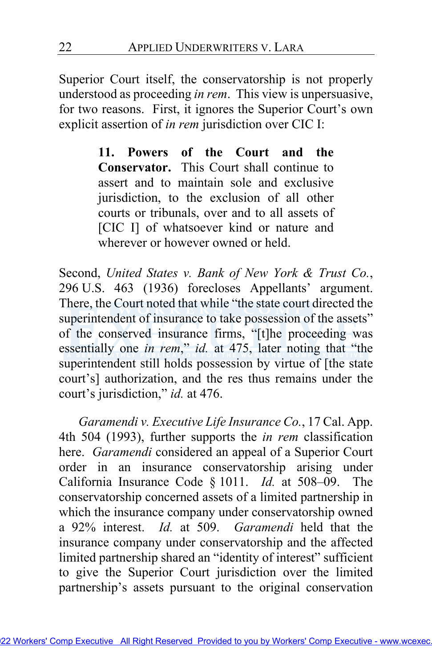Superior Court itself, the conservatorship is not properly understood as proceeding *in rem*. This view is unpersuasive, for two reasons. First, it ignores the Superior Court's own explicit assertion of *in rem* jurisdiction over CIC I:

> **11. Powers of the Court and the Conservator.** This Court shall continue to assert and to maintain sole and exclusive jurisdiction, to the exclusion of all other courts or tribunals, over and to all assets of [CIC I] of whatsoever kind or nature and wherever or however owned or held.

Second, *United States v. Bank of New York & Trust Co.*, 296 U.S. 463 (1936) forecloses Appellants' argument. There, the Court noted that while "the state court directed the superintendent of insurance to take possession of the assets" of the conserved insurance firms, "[t]he proceeding was essentially one *in rem*," *id.* at 475, later noting that "the superintendent still holds possession by virtue of [the state court's] authorization, and the res thus remains under the court's jurisdiction," *id.* at 476.

*Garamendi v. Executive Life Insurance Co.*, 17 Cal. App. 4th 504 (1993), further supports the *in rem* classification here. *Garamendi* considered an appeal of a Superior Court order in an insurance conservatorship arising under California Insurance Code § 1011. *Id.* at 508–09. The conservatorship concerned assets of a limited partnership in which the insurance company under conservatorship owned a 92% interest. *Id.* at 509. *Garamendi* held that the insurance company under conservatorship and the affected limited partnership shared an "identity of interest" sufficient to give the Superior Court jurisdiction over the limited partnership's assets pursuant to the original conservation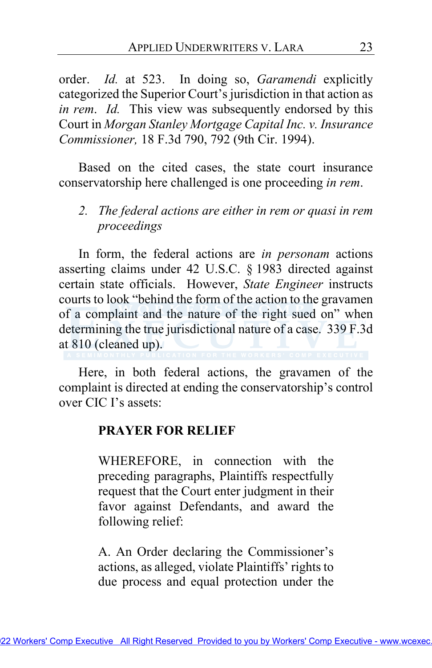order. *Id.* at 523. In doing so, *Garamendi* explicitly categorized the Superior Court's jurisdiction in that action as *in rem*. *Id.* This view was subsequently endorsed by this Court in *Morgan Stanley Mortgage Capital Inc. v. Insurance Commissioner,* 18 F.3d 790, 792 (9th Cir. 1994).

Based on the cited cases, the state court insurance conservatorship here challenged is one proceeding *in rem*.

*2. The federal actions are either in rem or quasi in rem proceedings* 

In form, the federal actions are *in personam* actions asserting claims under 42 U.S.C. § 1983 directed against certain state officials. However, *State Engineer* instructs courts to look "behind the form of the action to the gravamen of a complaint and the nature of the right sued on" when determining the true jurisdictional nature of a case. 339 F.3d at 810 (cleaned up).

Here, in both federal actions, the gravamen of the complaint is directed at ending the conservatorship's control over CIC I's assets:

#### **PRAYER FOR RELIEF**

WHEREFORE, in connection with the preceding paragraphs, Plaintiffs respectfully request that the Court enter judgment in their favor against Defendants, and award the following relief:

A. An Order declaring the Commissioner's actions, as alleged, violate Plaintiffs' rights to due process and equal protection under the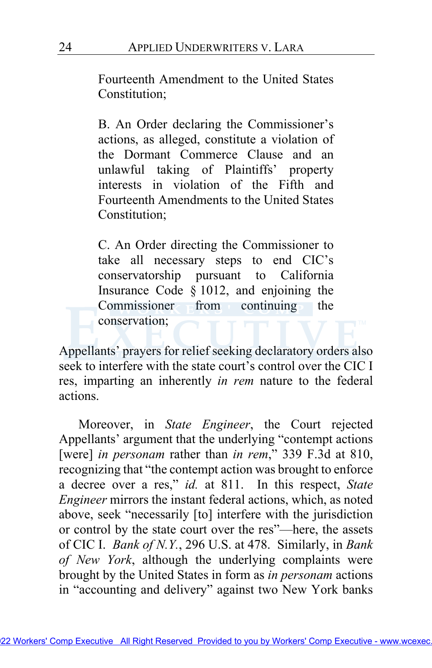Fourteenth Amendment to the United States Constitution;

B. An Order declaring the Commissioner's actions, as alleged, constitute a violation of the Dormant Commerce Clause and an unlawful taking of Plaintiffs' property interests in violation of the Fifth and Fourteenth Amendments to the United States Constitution;

C. An Order directing the Commissioner to take all necessary steps to end CIC's conservatorship pursuant to California Insurance Code § 1012, and enjoining the Commissioner from continuing the conservation;

Appellants' prayers for relief seeking declaratory orders also seek to interfere with the state court's control over the CIC I res, imparting an inherently *in rem* nature to the federal actions.

Moreover, in *State Engineer*, the Court rejected Appellants' argument that the underlying "contempt actions [were] *in personam* rather than *in rem*," 339 F.3d at 810, recognizing that "the contempt action was brought to enforce a decree over a res," *id.* at 811. In this respect, *State Engineer* mirrors the instant federal actions, which, as noted above, seek "necessarily [to] interfere with the jurisdiction or control by the state court over the res"—here, the assets of CIC I. *Bank of N.Y.*, 296 U.S. at 478. Similarly, in *Bank of New York*, although the underlying complaints were brought by the United States in form as *in personam* actions in "accounting and delivery" against two New York banks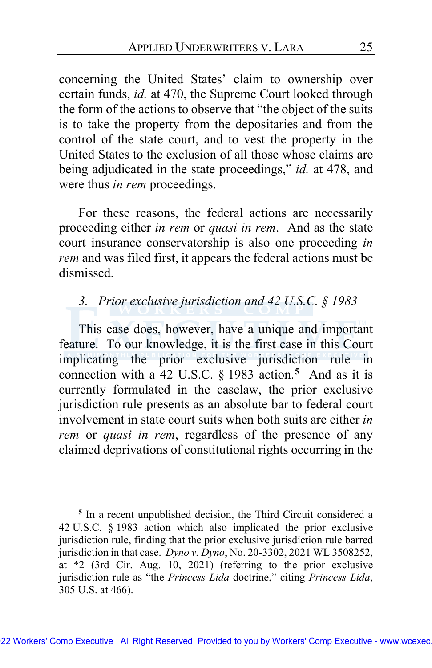concerning the United States' claim to ownership over certain funds, *id.* at 470, the Supreme Court looked through the form of the actions to observe that "the object of the suits is to take the property from the depositaries and from the control of the state court, and to vest the property in the United States to the exclusion of all those whose claims are being adjudicated in the state proceedings," *id.* at 478, and were thus *in rem* proceedings.

For these reasons, the federal actions are necessarily proceeding either *in rem* or *quasi in rem*. And as the state court insurance conservatorship is also one proceeding *in rem* and was filed first, it appears the federal actions must be dismissed.

# *3. Prior exclusive jurisdiction and 42 U.S.C. § 1983*

This case does, however, have a unique and important feature. To our knowledge, it is the first case in this Court implicating the prior exclusive jurisdiction rule in connection with a 42 U.S.C. § 1983 action.**[5](#page-24-0)** And as it is currently formulated in the caselaw, the prior exclusive jurisdiction rule presents as an absolute bar to federal court involvement in state court suits when both suits are either *in rem* or *quasi in rem*, regardless of the presence of any claimed deprivations of constitutional rights occurring in the

<span id="page-24-0"></span>**<sup>5</sup>** In a recent unpublished decision, the Third Circuit considered a 42 U.S.C. § 1983 action which also implicated the prior exclusive jurisdiction rule, finding that the prior exclusive jurisdiction rule barred jurisdiction in that case. *Dyno v. Dyno*, No. 20-3302, 2021 WL 3508252, at \*2 (3rd Cir. Aug. 10, 2021) (referring to the prior exclusive jurisdiction rule as "the *Princess Lida* doctrine," citing *Princess Lida*, 305 U.S. at 466).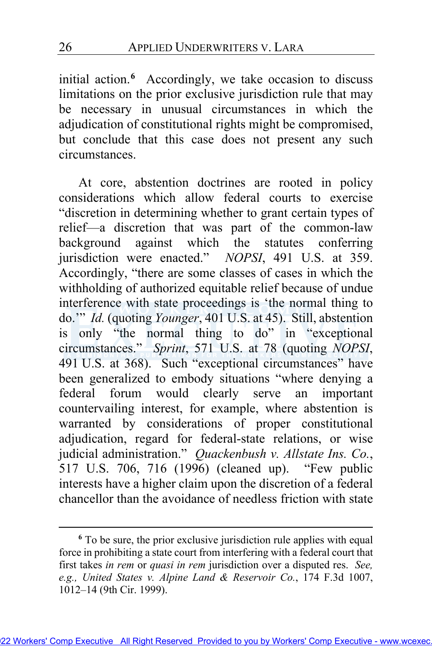initial action.**[6](#page-25-0)** Accordingly, we take occasion to discuss limitations on the prior exclusive jurisdiction rule that may be necessary in unusual circumstances in which the adjudication of constitutional rights might be compromised, but conclude that this case does not present any such circumstances.

At core, abstention doctrines are rooted in policy considerations which allow federal courts to exercise "discretion in determining whether to grant certain types of relief—a discretion that was part of the common-law background against which the statutes conferring jurisdiction were enacted." *NOPSI*, 491 U.S. at 359. Accordingly, "there are some classes of cases in which the withholding of authorized equitable relief because of undue interference with state proceedings is 'the normal thing to do." *Id.* (quoting *Younger*, 401 U.S. at 45). Still, abstention is only "the normal thing to do" in "exceptional circumstances." *Sprint*, 571 U.S. at 78 (quoting *NOPSI*, 491 U.S. at 368). Such "exceptional circumstances" have been generalized to embody situations "where denying a federal forum would clearly serve an important countervailing interest, for example, where abstention is warranted by considerations of proper constitutional adjudication, regard for federal-state relations, or wise judicial administration." *Quackenbush v. Allstate Ins. Co.*, 517 U.S. 706, 716 (1996) (cleaned up). "Few public interests have a higher claim upon the discretion of a federal chancellor than the avoidance of needless friction with state

<span id="page-25-0"></span>**<sup>6</sup>** To be sure, the prior exclusive jurisdiction rule applies with equal force in prohibiting a state court from interfering with a federal court that first takes *in rem* or *quasi in rem* jurisdiction over a disputed res. *See, e.g., United States v. Alpine Land & Reservoir Co.*, 174 F.3d 1007, 1012–14 (9th Cir. 1999).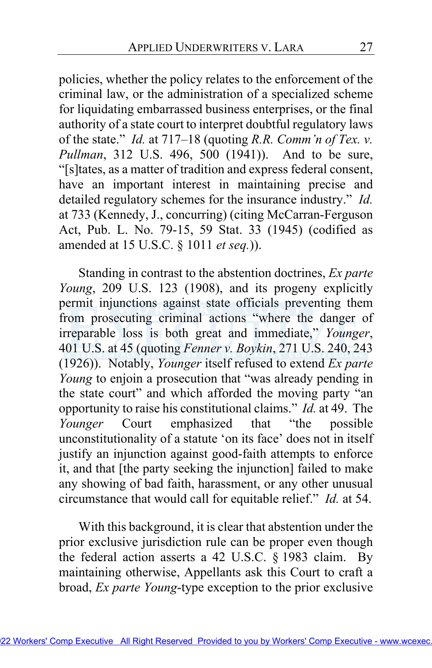policies, whether the policy relates to the enforcement of the criminal law, or the administration of a specialized scheme for liquidating embarrassed business enterprises, or the final authority of a state court to interpret doubtful regulatory laws of the state." *Id.* at 717–18 (quoting *R.R. Comm'n of Tex. v. Pullman*, 312 U.S. 496, 500 (1941)). And to be sure, "[s]tates, as a matter of tradition and express federal consent, have an important interest in maintaining precise and detailed regulatory schemes for the insurance industry." *Id.* at 733 (Kennedy, J., concurring) (citing McCarran-Ferguson Act, Pub. L. No. 79-15, 59 Stat. 33 (1945) (codified as amended at 15 U.S.C. § 1011 *et seq.*)).

Standing in contrast to the abstention doctrines, *Ex parte Young*, 209 U.S. 123 (1908), and its progeny explicitly permit injunctions against state officials preventing them from prosecuting criminal actions "where the danger of irreparable loss is both great and immediate," *Younger*, 401 U.S. at 45 (quoting *Fenner v. Boykin*, 271 U.S. 240, 243 (1926)). Notably, *Younger* itself refused to extend *Ex parte Young* to enjoin a prosecution that "was already pending in the state court" and which afforded the moving party "an opportunity to raise his constitutional claims." *Id.* at 49. The *Younger* Court emphasized that "the possible unconstitutionality of a statute 'on its face' does not in itself justify an injunction against good-faith attempts to enforce it, and that [the party seeking the injunction] failed to make any showing of bad faith, harassment, or any other unusual circumstance that would call for equitable relief." *Id.* at 54.

With this background, it is clear that abstention under the prior exclusive jurisdiction rule can be proper even though the federal action asserts a 42 U.S.C. § 1983 claim. By maintaining otherwise, Appellants ask this Court to craft a broad, *Ex parte Young*-type exception to the prior exclusive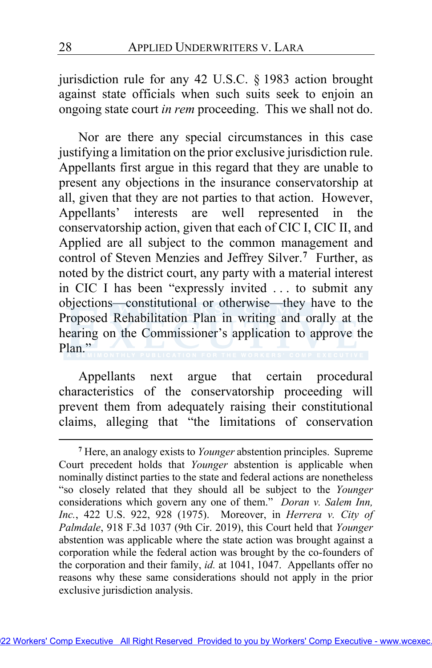jurisdiction rule for any 42 U.S.C. § 1983 action brought against state officials when such suits seek to enjoin an ongoing state court *in rem* proceeding. This we shall not do.

Nor are there any special circumstances in this case justifying a limitation on the prior exclusive jurisdiction rule. Appellants first argue in this regard that they are unable to present any objections in the insurance conservatorship at all, given that they are not parties to that action. However, Appellants' interests are well represented in the conservatorship action, given that each of CIC I, CIC II, and Applied are all subject to the common management and control of Steven Menzies and Jeffrey Silver.**[7](#page-27-0)** Further, as noted by the district court, any party with a material interest in CIC I has been "expressly invited . . . to submit any objections—constitutional or otherwise—they have to the Proposed Rehabilitation Plan in writing and orally at the hearing on the Commissioner's application to approve the Plan."

Appellants next argue that certain procedural characteristics of the conservatorship proceeding will prevent them from adequately raising their constitutional claims, alleging that "the limitations of conservation

<span id="page-27-0"></span>**<sup>7</sup>** Here, an analogy exists to *Younger* abstention principles. Supreme Court precedent holds that *Younger* abstention is applicable when nominally distinct parties to the state and federal actions are nonetheless "so closely related that they should all be subject to the *Younger* considerations which govern any one of them." *Doran v. Salem Inn, Inc.*, 422 U.S. 922, 928 (1975). Moreover, in *Herrera v. City of Palmdale*, 918 F.3d 1037 (9th Cir. 2019), this Court held that *Younger* abstention was applicable where the state action was brought against a corporation while the federal action was brought by the co-founders of the corporation and their family, *id.* at 1041, 1047. Appellants offer no reasons why these same considerations should not apply in the prior exclusive jurisdiction analysis.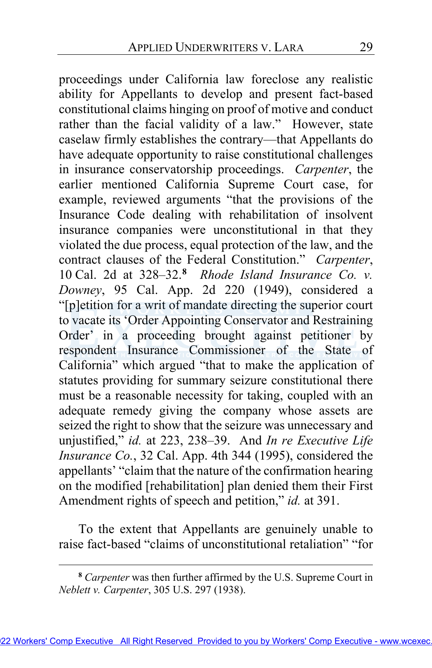proceedings under California law foreclose any realistic ability for Appellants to develop and present fact-based constitutional claims hinging on proof of motive and conduct rather than the facial validity of a law." However, state caselaw firmly establishes the contrary—that Appellants do have adequate opportunity to raise constitutional challenges in insurance conservatorship proceedings. *Carpenter*, the earlier mentioned California Supreme Court case, for example, reviewed arguments "that the provisions of the Insurance Code dealing with rehabilitation of insolvent insurance companies were unconstitutional in that they violated the due process, equal protection of the law, and the contract clauses of the Federal Constitution." *Carpenter*, 10 Cal. 2d at 328–32.**[8](#page-28-0)** *Rhode Island Insurance Co. v. Downey*, 95 Cal. App. 2d 220 (1949), considered a "[p]etition for a writ of mandate directing the superior court to vacate its 'Order Appoint[ing](http://www.wcexec.TM) Conservator and Restraining Order' in a proceeding brought against petitioner by respondent Insurance Commissioner of the State of California" which argued "that to make the application of statutes providing for summary seizure constitutional there must be a reasonable necessity for taking, coupled with an adequate remedy giving the company whose assets are seized the right to show that the seizure was unnecessary and unjustified," *id.* at 223, 238–39. And *In re Executive Life Insurance Co.*, 32 Cal. App. 4th 344 (1995), considered the appellants' "claim that the nature of the confirmation hearing on the modified [rehabilitation] plan denied them their First Amendment rights of speech and petition," *id.* at 391.

To the extent that Appellants are genuinely unable to raise fact-based "claims of unconstitutional retaliation" "for

<span id="page-28-0"></span>**<sup>8</sup>** *Carpenter* was then further affirmed by the U.S. Supreme Court in *Neblett v. Carpenter*, 305 U.S. 297 (1938).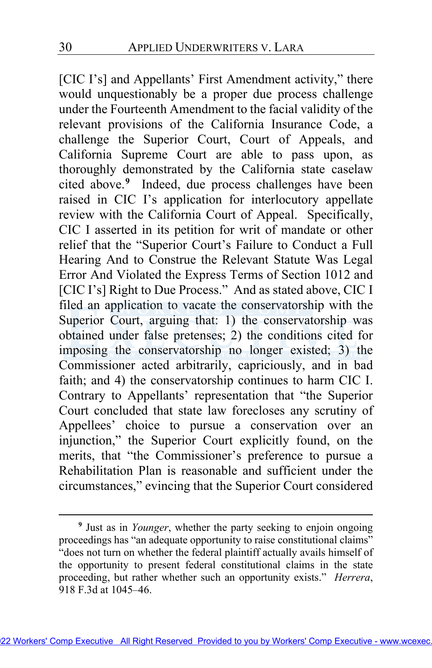[CIC I's] and Appellants' First Amendment activity," there would unquestionably be a proper due process challenge under the Fourteenth Amendment to the facial validity of the relevant provisions of the California Insurance Code, a challenge the Superior Court, Court of Appeals, and California Supreme Court are able to pass upon, as thoroughly demonstrated by the California state caselaw cited above.**[9](#page-29-0)** Indeed, due process challenges have been raised in CIC I's application for interlocutory appellate review with the California Court of Appeal. Specifically, CIC I asserted in its petition for writ of mandate or other relief that the "Superior Court's Failure to Conduct a Full Hearing And to Construe the Relevant Statute Was Legal Error And Violated the Express Terms of Section 1012 and [CIC I's] Right to Due Process." And as stated above, CIC I filed an application to vacate the conservatorship with the Superior Court, arguing that: 1) the conservatorship was obtained under false pretenses; 2) the conditions cited for imposing the conservatorship no longer existed; 3) the Commissioner acted arbitrarily, capriciously, and in bad faith; and 4) the conservatorship continues to harm CIC I. Contrary to Appellants' representation that "the Superior Court concluded that state law forecloses any scrutiny of Appellees' choice to pursue a conservation over an injunction," the Superior Court explicitly found, on the merits, that "the Commissioner's preference to pursue a Rehabilitation Plan is reasonable and sufficient under the circumstances," evincing that the Superior Court considered

<span id="page-29-0"></span>**<sup>9</sup>** Just as in *Younger*, whether the party seeking to enjoin ongoing proceedings has "an adequate opportunity to raise constitutional claims" "does not turn on whether the federal plaintiff actually avails himself of the opportunity to present federal constitutional claims in the state proceeding, but rather whether such an opportunity exists." *Herrera*, 918 F.3d at 1045–46.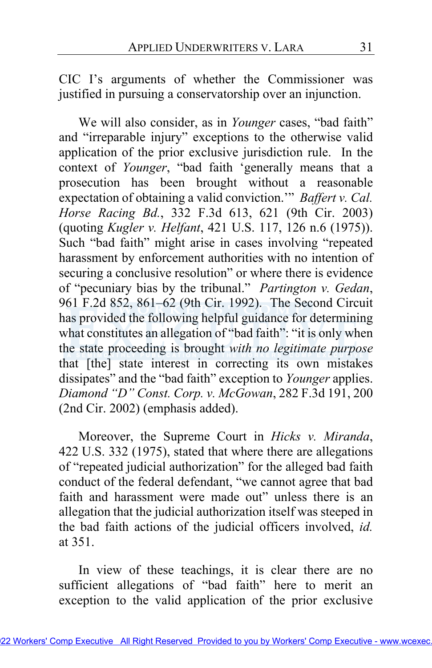CIC I's arguments of whether the Commissioner was justified in pursuing a conservatorship over an injunction.

We will also consider, as in *Younger* cases, "bad faith" and "irreparable injury" exceptions to the otherwise valid application of the prior exclusive jurisdiction rule. In the context of *Younger*, "bad faith 'generally means that a prosecution has been brought without a reasonable expectation of obtaining a valid conviction.'" *Baffert v. Cal. Horse Racing Bd.*, 332 F.3d 613, 621 (9th Cir. 2003) (quoting *Kugler v. Helfant*, 421 U.S. 117, 126 n.6 (1975)). Such "bad faith" might arise in cases involving "repeated harassment by enforcement authorities with no intention of securing a conclusive resolution" or where there is evidence of "pecuniary bias by the tribunal." *Partington v. Gedan*, 961 F.2d 852, 861–62 (9th Cir. 1992). The Second Circuit has provided the follow[ing](http://www.wcexec.TM) helpful guidance for determining what constitutes an allegation of "bad faith": "it is only when the state proceeding is brought *with no legitimate purpose* that [the] state interest in correcting its own mistakes dissipates" and the "bad faith" exception to *Younger* applies. *Diamond "D" Const. Corp. v. McGowan*, 282 F.3d 191, 200 (2nd Cir. 2002) (emphasis added).

Moreover, the Supreme Court in *Hicks v. Miranda*, 422 U.S. 332 (1975), stated that where there are allegations of "repeated judicial authorization" for the alleged bad faith conduct of the federal defendant, "we cannot agree that bad faith and harassment were made out" unless there is an allegation that the judicial authorization itself was steeped in the bad faith actions of the judicial officers involved, *id.*  at 351.

In view of these teachings, it is clear there are no sufficient allegations of "bad faith" here to merit an exception to the valid application of the prior exclusive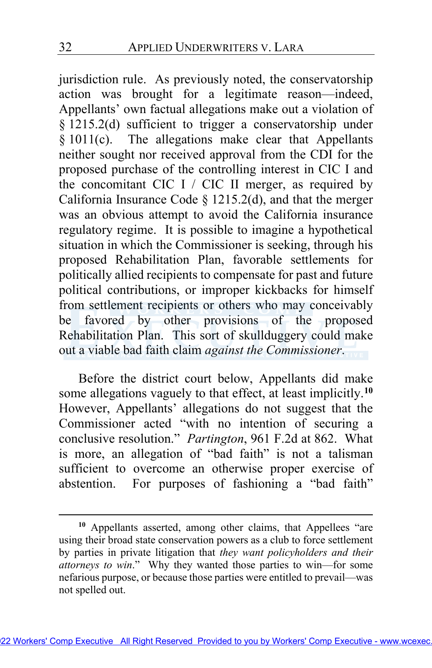jurisdiction rule. As previously noted, the conservatorship action was brought for a legitimate reason—indeed, Appellants' own factual allegations make out a violation of § 1215.2(d) sufficient to trigger a conservatorship under § 1011(c). The allegations make clear that Appellants neither sought nor received approval from the CDI for the proposed purchase of the controlling interest in CIC I and the concomitant CIC I / CIC II merger, as required by California Insurance Code  $\S$  1215.2(d), and that the merger was an obvious attempt to avoid the California insurance regulatory regime. It is possible to imagine a hypothetical situation in which the Commissioner is seeking, through his proposed Rehabilitation Plan, favorable settlements for politically allied recipients to compensate for past and future political contributions, or improper kickbacks for himself from settlement recipients or others who may conceivably be favored by other provisions of the proposed Rehabilitation Plan. This sort of skullduggery could make out a viable bad faith claim *against the Commissioner*.

Before the district court below, Appellants did make some allegations vaguely to that effect, at least implicitly.**[10](#page-31-0)** However, Appellants' allegations do not suggest that the Commissioner acted "with no intention of securing a conclusive resolution." *Partington*, 961 F.2d at 862. What is more, an allegation of "bad faith" is not a talisman sufficient to overcome an otherwise proper exercise of abstention. For purposes of fashioning a "bad faith"

<span id="page-31-0"></span>**<sup>10</sup>** Appellants asserted, among other claims, that Appellees "are using their broad state conservation powers as a club to force settlement by parties in private litigation that *they want policyholders and their attorneys to win*." Why they wanted those parties to win—for some nefarious purpose, or because those parties were entitled to prevail—was not spelled out.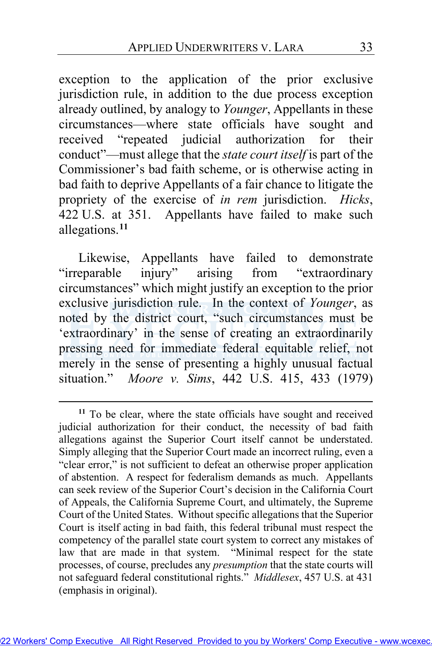exception to the application of the prior exclusive jurisdiction rule, in addition to the due process exception already outlined, by analogy to *Younger*, Appellants in these circumstances—where state officials have sought and received "repeated judicial authorization for their conduct"—must allege that the *state court itself* is part of the Commissioner's bad faith scheme, or is otherwise acting in bad faith to deprive Appellants of a fair chance to litigate the propriety of the exercise of *in rem* jurisdiction. *Hicks*, 422 U.S. at 351. Appellants have failed to make such allegations.**[11](#page-32-0)**

Likewise, Appellants have failed to demonstrate "irreparable injury" arising from "extraordinary circumstances" which might justify an exception to the prior exclusive jurisdiction rule. In the context of *Younger*, as noted by the district court, "such circumstances must be 'extraordinary' in the sense of creating an extraordinarily pressing need for immediate federal equitable relief, not merely in the sense of presenting a highly unusual factual situation." *Moore v. Sims*, 442 U.S. 415, 433 (1979)

<span id="page-32-0"></span>**<sup>11</sup>** To be clear, where the state officials have sought and received judicial authorization for their conduct, the necessity of bad faith allegations against the Superior Court itself cannot be understated. Simply alleging that the Superior Court made an incorrect ruling, even a "clear error," is not sufficient to defeat an otherwise proper application of abstention. A respect for federalism demands as much. Appellants can seek review of the Superior Court's decision in the California Court of Appeals, the California Supreme Court, and ultimately, the Supreme Court of the United States. Without specific allegations that the Superior Court is itself acting in bad faith, this federal tribunal must respect the competency of the parallel state court system to correct any mistakes of law that are made in that system. "Minimal respect for the state processes, of course, precludes any *presumption* that the state courts will not safeguard federal constitutional rights." *Middlesex*, 457 U.S. at 431 (emphasis in original).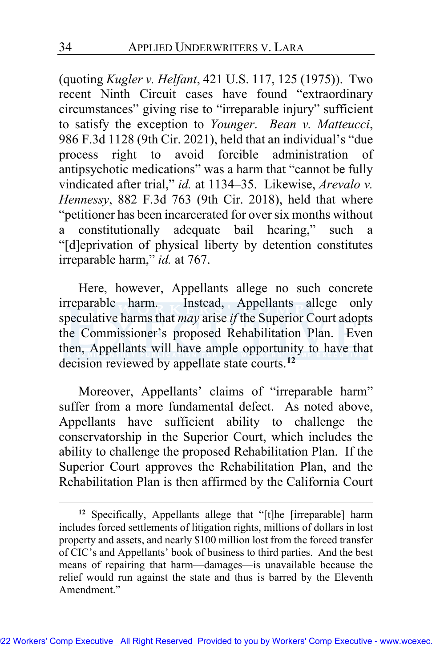(quoting *Kugler v. Helfant*, 421 U.S. 117, 125 (1975)). Two recent Ninth Circuit cases have found "extraordinary circumstances" giving rise to "irreparable injury" sufficient to satisfy the exception to *Younger*. *Bean v. Matteucci*, 986 F.3d 1128 (9th Cir. 2021), held that an individual's "due process right to avoid forcible administration of antipsychotic medications" was a harm that "cannot be fully vindicated after trial," *id.* at 1134–35. Likewise, *Arevalo v. Hennessy*, 882 F.3d 763 (9th Cir. 2018), held that where "petitioner has been incarcerated for over six months without a constitutionally adequate bail hearing," such a "[d]eprivation of physical liberty by detention constitutes irreparable harm," *id.* at 767.

Here, however, Appellants allege no such concrete irreparable harm. Instead, Appellants allege only speculative harms that *may* arise *if* the Superior Court adopts the Commissioner's proposed Rehabilitation Plan. Even then, Appellants will have ample opportunity to have that decision reviewed by appellate state courts.**[12](#page-33-0)**

Moreover, Appellants' claims of "irreparable harm" suffer from a more fundamental defect. As noted above, Appellants have sufficient ability to challenge the conservatorship in the Superior Court, which includes the ability to challenge the proposed Rehabilitation Plan. If the Superior Court approves the Rehabilitation Plan, and the Rehabilitation Plan is then affirmed by the California Court

<span id="page-33-0"></span>**<sup>12</sup>** Specifically, Appellants allege that "[t]he [irreparable] harm includes forced settlements of litigation rights, millions of dollars in lost property and assets, and nearly \$100 million lost from the forced transfer of CIC's and Appellants' book of business to third parties. And the best means of repairing that harm—damages—is unavailable because the relief would run against the state and thus is barred by the Eleventh Amendment."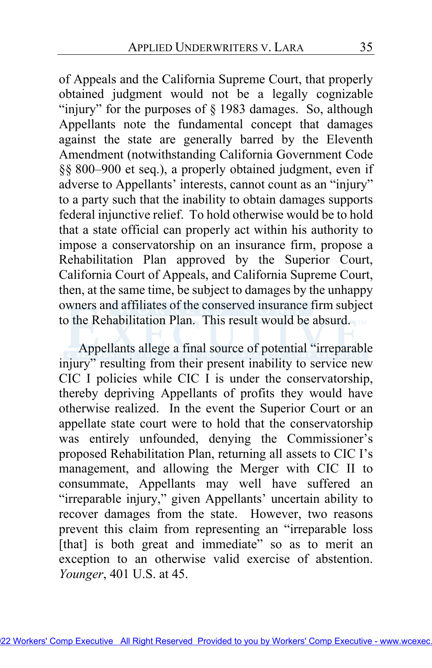of Appeals and the California Supreme Court, that properly obtained judgment would not be a legally cognizable "injury" for the purposes of § 1983 damages. So, although Appellants note the fundamental concept that damages against the state are generally barred by the Eleventh Amendment (notwithstanding California Government Code §§ 800–900 et seq.), a properly obtained judgment, even if adverse to Appellants' interests, cannot count as an "injury" to a party such that the inability to obtain damages supports federal injunctive relief. To hold otherwise would be to hold that a state official can properly act within his authority to impose a conservatorship on an insurance firm, propose a Rehabilitation Plan approved by the Superior Court, California Court of Appeals, and California Supreme Court, then, at the same time, be subject to damages by the unhappy owners and affiliates of the conserved insurance firm subject to the Rehabilitation Plan. This result would be absurd.

Appellants allege a final source of potential "irreparable injury" resulting from their present inability to service new CIC I policies while CIC I is under the conservatorship, thereby depriving Appellants of profits they would have otherwise realized. In the event the Superior Court or an appellate state court were to hold that the conservatorship was entirely unfounded, denying the Commissioner's proposed Rehabilitation Plan, returning all assets to CIC I's management, and allowing the Merger with CIC II to consummate, Appellants may well have suffered an "irreparable injury," given Appellants' uncertain ability to recover damages from the state. However, two reasons prevent this claim from representing an "irreparable loss [that] is both great and immediate" so as to merit an exception to an otherwise valid exercise of abstention. *Younger*, 401 U.S. at 45.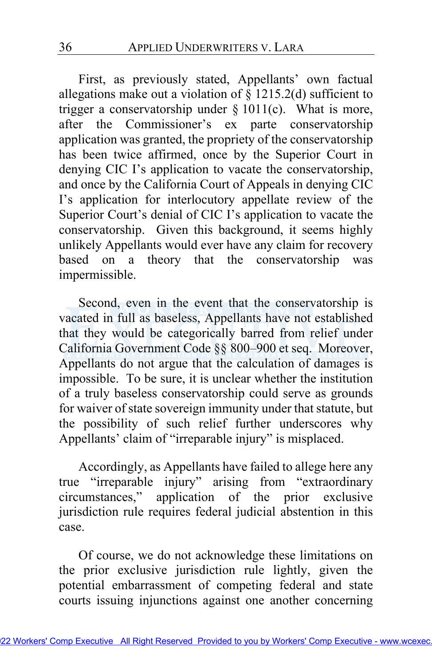First, as previously stated, Appellants' own factual allegations make out a violation of  $\S$  1215.2(d) sufficient to trigger a conservatorship under  $\S$  1011(c). What is more, after the Commissioner's ex parte conservatorship application was granted, the propriety of the conservatorship has been twice affirmed, once by the Superior Court in denying CIC I's application to vacate the conservatorship, and once by the California Court of Appeals in denying CIC I's application for interlocutory appellate review of the Superior Court's denial of CIC I's application to vacate the conservatorship. Given this background, it seems highly unlikely Appellants would ever have any claim for recovery based on a theory that the conservatorship was impermissible.

Second, even in the event that the conservatorship is vacated in full as baseless, Appellants have not established that they would be categorically barred from relief under California Government Code §§ 800–900 et seq. Moreover, Appellants do not argue that the calculation of damages is impossible. To be sure, it is unclear whether the institution of a truly baseless conservatorship could serve as grounds for waiver of state sovereign immunity under that statute, but the possibility of such relief further underscores why Appellants' claim of "irreparable injury" is misplaced.

Accordingly, as Appellants have failed to allege here any true "irreparable injury" arising from "extraordinary circumstances," application of the prior exclusive jurisdiction rule requires federal judicial abstention in this case.

Of course, we do not acknowledge these limitations on the prior exclusive jurisdiction rule lightly, given the potential embarrassment of competing federal and state courts issuing injunctions against one another concerning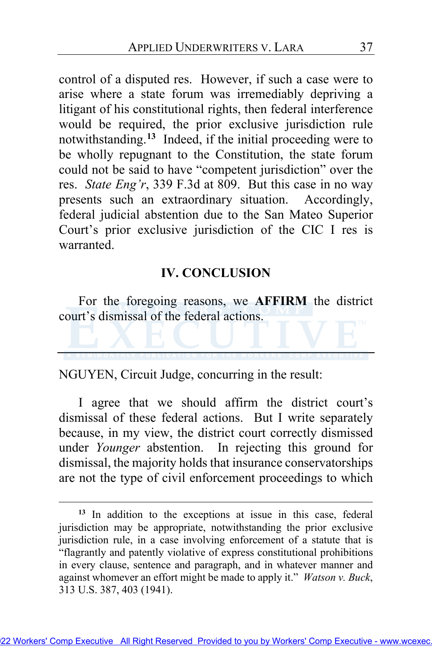control of a disputed res. However, if such a case were to arise where a state forum was irremediably depriving a litigant of his constitutional rights, then federal interference would be required, the prior exclusive jurisdiction rule notwithstanding.**[13](#page-36-0)** Indeed, if the initial proceeding were to be wholly repugnant to the Constitution, the state forum could not be said to have "competent jurisdiction" over the res. *State Eng'r*, 339 F.3d at 809. But this case in no way presents such an extraordinary situation. Accordingly, federal judicial abstention due to the San Mateo Superior Court's prior exclusive jurisdiction of the CIC I res is warranted.

### **IV. CONCLUSION**

For the foregoing reasons, we **AFFIRM** the district court's dismissal of the federal actions.

NGUYEN, Circuit Judge, concurring in the result:

I agree that we should affirm the district court's dismissal of these federal actions. But I write separately because, in my view, the district court correctly dismissed under *Younger* abstention. In rejecting this ground for dismissal, the majority holds that insurance conservatorships are not the type of civil enforcement proceedings to which

<span id="page-36-0"></span>**<sup>13</sup>** In addition to the exceptions at issue in this case, federal jurisdiction may be appropriate, notwithstanding the prior exclusive jurisdiction rule, in a case involving enforcement of a statute that is "flagrantly and patently violative of express constitutional prohibitions in every clause, sentence and paragraph, and in whatever manner and against whomever an effort might be made to apply it." *Watson v. Buck*, 313 U.S. 387, 403 (1941).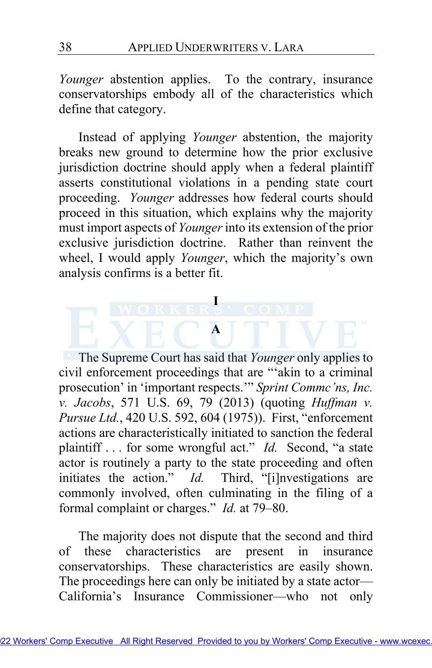*Younger* abstention applies. To the contrary, insurance conservatorships embody all of the characteristics which define that category.

Instead of applying *Younger* abstention, the majority breaks new ground to determine how the prior exclusive jurisdiction doctrine should apply when a federal plaintiff asserts constitutional violations in a pending state court proceeding. *Younger* addresses how federal courts should proceed in this situation, which explains why the majority must import aspects of *Younger* into its extension of the prior exclusive jurisdiction doctrine. Rather than reinvent the wheel, I would apply *Younger*, which the majority's own analysis confirms is a better fit.

**I** 

**A** 



The majority does not dispute that the second and third of these characteristics are present in insurance conservatorships. These characteristics are easily shown. The proceedings here can only be initiated by a state actor— California's Insurance Commissioner—who not only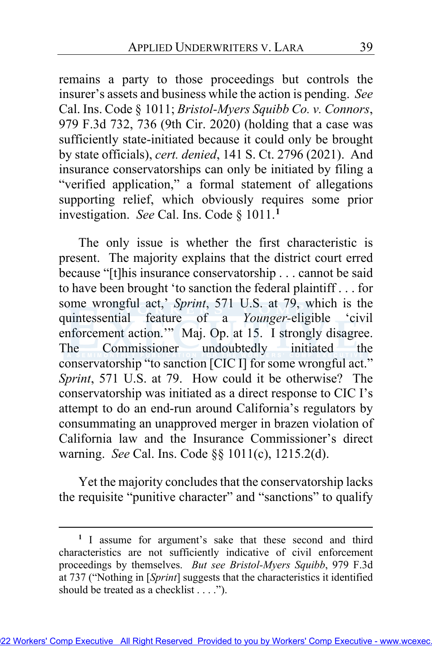remains a party to those proceedings but controls the insurer's assets and business while the action is pending. *See*  Cal. Ins. Code § 1011; *Bristol-Myers Squibb Co. v. Connors*, 979 F.3d 732, 736 (9th Cir. 2020) (holding that a case was sufficiently state-initiated because it could only be brought by state officials), *cert. denied*, 141 S. Ct. 2796 (2021). And insurance conservatorships can only be initiated by filing a "verified application," a formal statement of allegations supporting relief, which obviously requires some prior investigation. *See* Cal. Ins. Code § 1011.**[1](#page-38-0)**

The only issue is whether the first characteristic is present. The majority explains that the district court erred because "[t]his insurance conservatorship . . . cannot be said to have been brought 'to sanction the federal plaintiff . . . for some wrongful act,' *Sprint*, 571 U.S. at 79, which is the quintessential feature of a *Younger*-eligible 'civil enforcement action.'" Maj. Op. at [15.](#page-14-0) I strongly disagree. The Commissioner undoubtedly initiated the conservatorship "to sanction [CIC I] for some wrongful act." *Sprint*, 571 U.S. at 79. How could it be otherwise? The conservatorship was initiated as a direct response to CIC I's attempt to do an end-run around California's regulators by consummating an unapproved merger in brazen violation of California law and the Insurance Commissioner's direct warning. *See* Cal. Ins. Code §§ 1011(c), 1215.2(d).

Yet the majority concludes that the conservatorship lacks the requisite "punitive character" and "sanctions" to qualify

<span id="page-38-0"></span>**<sup>1</sup>** I assume for argument's sake that these second and third characteristics are not sufficiently indicative of civil enforcement proceedings by themselves. *But see Bristol-Myers Squibb*, 979 F.3d at 737 ("Nothing in [*Sprint*] suggests that the characteristics it identified should be treated as a checklist . . . .").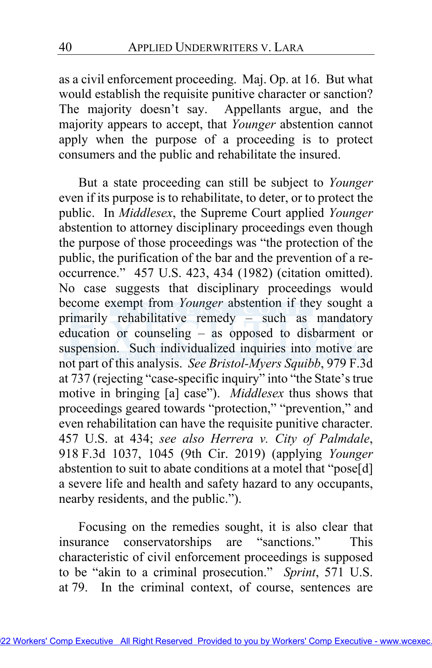as a civil enforcement proceeding. Maj. Op. a[t 16.](#page-15-0) But what would establish the requisite punitive character or sanction? The majority doesn't say. Appellants argue, and the majority appears to accept, that *Younger* abstention cannot apply when the purpose of a proceeding is to protect consumers and the public and rehabilitate the insured.

But a state proceeding can still be subject to *Younger*  even if its purpose is to rehabilitate, to deter, or to protect the public. In *Middlesex*, the Supreme Court applied *Younger*  abstention to attorney disciplinary proceedings even though the purpose of those proceedings was "the protection of the public, the purification of the bar and the prevention of a reoccurrence." 457 U.S. 423, 434 (1982) (citation omitted). No case suggests that disciplinary proceedings would become exempt from *Younger* abstention if they sought a primarily rehabilitative remedy – such as mandatory education or counseling – as opposed to disbarment or suspension. Such individualized inquiries into motive are not part of this analysis. *See Bristol-Myers Squibb*, 979 F.3d at 737 (rejecting "case-specific inquiry" into "the State's true motive in bringing [a] case"). *Middlesex* thus shows that proceedings geared towards "protection," "prevention," and even rehabilitation can have the requisite punitive character. 457 U.S. at 434; *see also Herrera v. City of Palmdale*, 918 F.3d 1037, 1045 (9th Cir. 2019) (applying *Younger*  abstention to suit to abate conditions at a motel that "pose[d] a severe life and health and safety hazard to any occupants, nearby residents, and the public.").

Focusing on the remedies sought, it is also clear that insurance conservatorships are "sanctions." This characteristic of civil enforcement proceedings is supposed to be "akin to a criminal prosecution." *Sprint*, 571 U.S. at 79. In the criminal context, of course, sentences are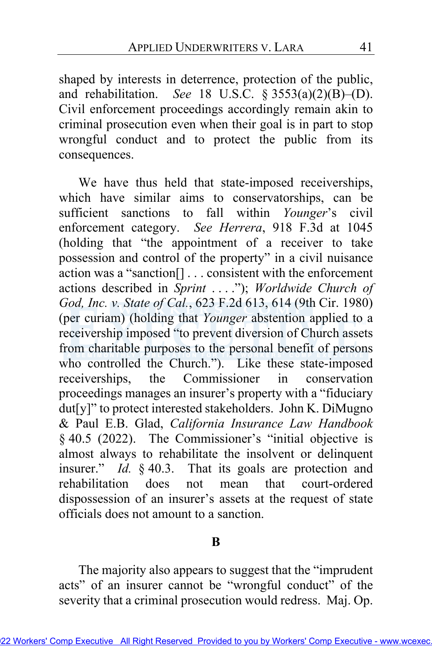shaped by interests in deterrence, protection of the public, and rehabilitation. *See* 18 U.S.C. § 3553(a)(2)(B)–(D). Civil enforcement proceedings accordingly remain akin to criminal prosecution even when their goal is in part to stop wrongful conduct and to protect the public from its consequences.

We have thus held that state-imposed receiverships, which have similar aims to conservatorships, can be sufficient sanctions to fall within *Younger*'s civil enforcement category. *See Herrera*, 918 F.3d at 1045 (holding that "the appointment of a receiver to take possession and control of the property" in a civil nuisance action was a "sanction[] . . . consistent with the enforcement actions described in *Sprint* . . . ."); *Worldwide Church of God, Inc. v. State of Cal.*, 623 F.2d 613, 614 (9th Cir. 1980) (per curiam) (holding that Younger abstention applied to a receivership imposed "to prevent diversion of Church assets from charitable purposes to the personal benefit of persons who controlled the Church."). Like these state-imposed receiverships, the Commissioner in conservation proceedings manages an insurer's property with a "fiduciary dut[y]" to protect interested stakeholders. John K. DiMugno & Paul E.B. Glad, *California Insurance Law Handbook*  § 40.5 (2022). The Commissioner's "initial objective is almost always to rehabilitate the insolvent or delinquent insurer." *Id.* § 40.3. That its goals are protection and rehabilitation does not mean that court-ordered dispossession of an insurer's assets at the request of state officials does not amount to a sanction.

## **B**

The majority also appears to suggest that the "imprudent acts" of an insurer cannot be "wrongful conduct" of the severity that a criminal prosecution would redress. Maj. Op.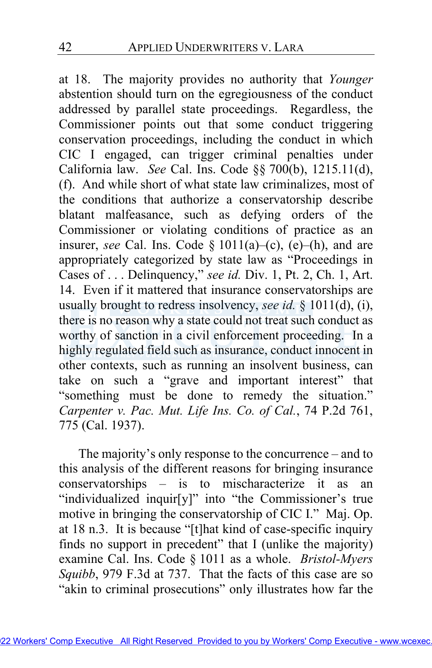at [18.](#page-17-1) The majority provides no authority that *Younger*  abstention should turn on the egregiousness of the conduct addressed by parallel state proceedings. Regardless, the Commissioner points out that some conduct triggering conservation proceedings, including the conduct in which CIC I engaged, can trigger criminal penalties under California law. *See* Cal. Ins. Code §§ 700(b), 1215.11(d), (f). And while short of what state law criminalizes, most of the conditions that authorize a conservatorship describe blatant malfeasance, such as defying orders of the Commissioner or violating conditions of practice as an insurer, *see* Cal. Ins. Code  $\S$  1011(a)–(c), (e)–(h), and are appropriately categorized by state law as "Proceedings in Cases of . . . Delinquency," *see id.* Div. 1, Pt. 2, Ch. 1, Art. 14. Even if it mattered that insurance conservatorships are usually brought to redress insolvency, *see id.* § 1011(d), (i), there is no reason why a state could not treat such conduct as worthy of sanction in a civil enforcement proceeding. In a highly regulated field such as insurance, conduct innocent in other contexts, such as running an insolvent business, can take on such a "grave and important interest" that "something must be done to remedy the situation." *Carpenter v. Pac. Mut. Life Ins. Co. of Cal.*, 74 P.2d 761, 775 (Cal. 1937).

The majority's only response to the concurrence – and to this analysis of the different reasons for bringing insurance conservatorships – is to mischaracterize it as an "individualized inquir[y]" into "the Commissioner's true motive in bringing the conservatorship of CIC I." Maj. Op. at [18](#page-17-2) n.3. It is because "[t]hat kind of case-specific inquiry finds no support in precedent" that I (unlike the majority) examine Cal. Ins. Code § 1011 as a whole. *Bristol-Myers Squibb*, 979 F.3d at 737. That the facts of this case are so "akin to criminal prosecutions" only illustrates how far the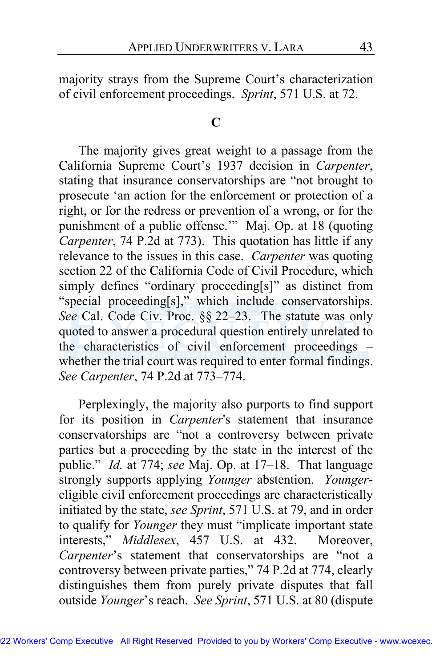majority strays from the Supreme Court's characterization of civil enforcement proceedings. *Sprint*, 571 U.S. at 72.

### **C**

The majority gives great weight to a passage from the California Supreme Court's 1937 decision in *Carpenter*, stating that insurance conservatorships are "not brought to prosecute 'an action for the enforcement or protection of a right, or for the redress or prevention of a wrong, or for the punishment of a public offense.'" Maj. Op. at 18 (quoting *Carpenter*, 74 P.2d at 773). This quotation has little if any relevance to the issues in this case. *Carpenter* was quoting section 22 of the California Code of Civil Procedure, which simply defines "ordinary proceeding[s]" as distinct from "special proceeding[s]," which include conservatorships. *See* Cal. Code Civ. Proc. §§ 22–23. The statute was o[nly](http://www.wcexec.TM)  quoted to answer a procedural question entirely unrelated to the characteristics of civil enforcement proceedings – whether the trial court was required to enter formal findings. *See Carpenter*, 74 P.2d at 773–774.

Perplexingly, the majority also purports to find support for its position in *Carpenter*'s statement that insurance conservatorships are "not a controversy between private parties but a proceeding by the state in the interest of the public." *Id.* at 774; *see* Maj. Op. at 17–18. That language strongly supports applying *Younger* abstention. *Younger*eligible civil enforcement proceedings are characteristically initiated by the state, *see Sprint*, 571 U.S. at 79, and in order to qualify for *Younger* they must "implicate important state interests," *Middlesex*, 457 U.S. at 432. Moreover, *Carpenter*'s statement that conservatorships are "not a controversy between private parties," 74 P.2d at 774, clearly distinguishes them from purely private disputes that fall outside *Younger*'s reach. *See Sprint*, 571 U.S. at 80 (dispute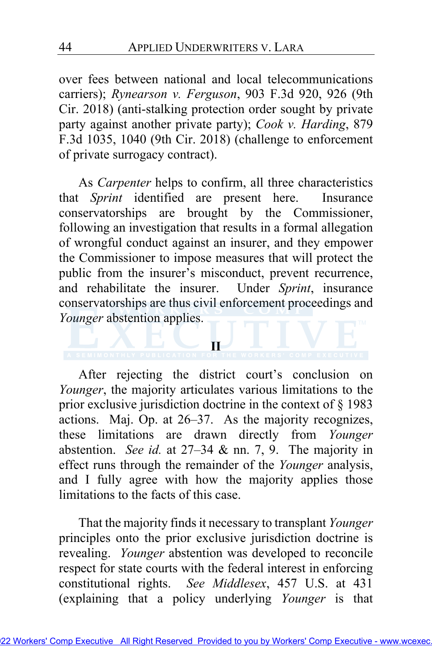over fees between national and local telecommunications carriers); *Rynearson v. Ferguson*, 903 F.3d 920, 926 (9th Cir. 2018) (anti-stalking protection order sought by private party against another private party); *Cook v. Harding*, 879 F.3d 1035, 1040 (9th Cir. 2018) (challenge to enforcement of private surrogacy contract).

As *Carpenter* helps to confirm, all three characteristics that *Sprint* identified are present here. Insurance conservatorships are brought by the Commissioner, following an investigation that results in a formal allegation of wrongful conduct against an insurer, and they empower the Commissioner to impose measures that will protect the public from the insurer's misconduct, prevent recurrence, and rehabilitate the insurer. Under *Sprint*, insurance conservatorships are thus civil enforcement proceedings and *Younger* abstention applies.

#### **II**

After rejecting the district court's conclusion on *Younger*, the majority articulates various limitations to the prior exclusive jurisdiction doctrine in the context of § 1983 actions. Maj. Op. at 26–37. As the majority recognizes, these limitations are drawn directly from *Younger*  abstention. *See id.* at 27–34 & nn. 7, 9. The majority in effect runs through the remainder of the *Younger* analysis, and I fully agree with how the majority applies those limitations to the facts of this case.

That the majority finds it necessary to transplant *Younger*  principles onto the prior exclusive jurisdiction doctrine is revealing. *Younger* abstention was developed to reconcile respect for state courts with the federal interest in enforcing constitutional rights. *See Middlesex*, 457 U.S. at 431 (explaining that a policy underlying *Younger* is that